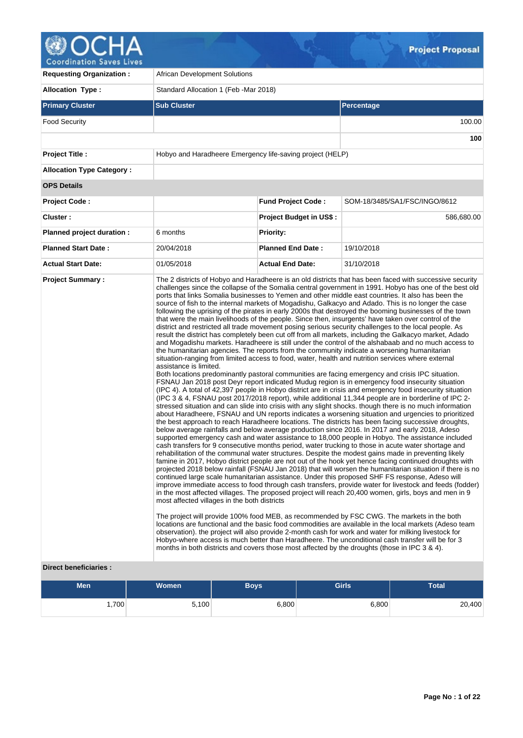

| <b>Requesting Organization:</b>  | <b>African Development Solutions</b>                                   |                                |                                                                                                                                                                                                                                                                                                                                                                                                                                                                                                                                                                                                                                                                                                                                                                                                                                                                                                                                                                                                                                                                                                                                                                                                                                                                                                                                                                                                                                                                                                                                                                                                                                                                                                                                                                                                                                                                                                                                                                                                                                                                                                                                                                                                                                                                                                                                                                                                                                                                                                                                                                                                                                                                                                                                                                                                                                                                                                                                                                                                                                                                                                                                                                                                                                                                                                                                                                                                                                |  |  |  |
|----------------------------------|------------------------------------------------------------------------|--------------------------------|--------------------------------------------------------------------------------------------------------------------------------------------------------------------------------------------------------------------------------------------------------------------------------------------------------------------------------------------------------------------------------------------------------------------------------------------------------------------------------------------------------------------------------------------------------------------------------------------------------------------------------------------------------------------------------------------------------------------------------------------------------------------------------------------------------------------------------------------------------------------------------------------------------------------------------------------------------------------------------------------------------------------------------------------------------------------------------------------------------------------------------------------------------------------------------------------------------------------------------------------------------------------------------------------------------------------------------------------------------------------------------------------------------------------------------------------------------------------------------------------------------------------------------------------------------------------------------------------------------------------------------------------------------------------------------------------------------------------------------------------------------------------------------------------------------------------------------------------------------------------------------------------------------------------------------------------------------------------------------------------------------------------------------------------------------------------------------------------------------------------------------------------------------------------------------------------------------------------------------------------------------------------------------------------------------------------------------------------------------------------------------------------------------------------------------------------------------------------------------------------------------------------------------------------------------------------------------------------------------------------------------------------------------------------------------------------------------------------------------------------------------------------------------------------------------------------------------------------------------------------------------------------------------------------------------------------------------------------------------------------------------------------------------------------------------------------------------------------------------------------------------------------------------------------------------------------------------------------------------------------------------------------------------------------------------------------------------------------------------------------------------------------------------------------------------|--|--|--|
| <b>Allocation Type:</b>          | Standard Allocation 1 (Feb - Mar 2018)                                 |                                |                                                                                                                                                                                                                                                                                                                                                                                                                                                                                                                                                                                                                                                                                                                                                                                                                                                                                                                                                                                                                                                                                                                                                                                                                                                                                                                                                                                                                                                                                                                                                                                                                                                                                                                                                                                                                                                                                                                                                                                                                                                                                                                                                                                                                                                                                                                                                                                                                                                                                                                                                                                                                                                                                                                                                                                                                                                                                                                                                                                                                                                                                                                                                                                                                                                                                                                                                                                                                                |  |  |  |
| <b>Primary Cluster</b>           | <b>Sub Cluster</b>                                                     |                                | <b>Percentage</b>                                                                                                                                                                                                                                                                                                                                                                                                                                                                                                                                                                                                                                                                                                                                                                                                                                                                                                                                                                                                                                                                                                                                                                                                                                                                                                                                                                                                                                                                                                                                                                                                                                                                                                                                                                                                                                                                                                                                                                                                                                                                                                                                                                                                                                                                                                                                                                                                                                                                                                                                                                                                                                                                                                                                                                                                                                                                                                                                                                                                                                                                                                                                                                                                                                                                                                                                                                                                              |  |  |  |
| <b>Food Security</b>             |                                                                        |                                |                                                                                                                                                                                                                                                                                                                                                                                                                                                                                                                                                                                                                                                                                                                                                                                                                                                                                                                                                                                                                                                                                                                                                                                                                                                                                                                                                                                                                                                                                                                                                                                                                                                                                                                                                                                                                                                                                                                                                                                                                                                                                                                                                                                                                                                                                                                                                                                                                                                                                                                                                                                                                                                                                                                                                                                                                                                                                                                                                                                                                                                                                                                                                                                                                                                                                                                                                                                                                                |  |  |  |
|                                  |                                                                        |                                | 100                                                                                                                                                                                                                                                                                                                                                                                                                                                                                                                                                                                                                                                                                                                                                                                                                                                                                                                                                                                                                                                                                                                                                                                                                                                                                                                                                                                                                                                                                                                                                                                                                                                                                                                                                                                                                                                                                                                                                                                                                                                                                                                                                                                                                                                                                                                                                                                                                                                                                                                                                                                                                                                                                                                                                                                                                                                                                                                                                                                                                                                                                                                                                                                                                                                                                                                                                                                                                            |  |  |  |
| <b>Project Title:</b>            | Hobyo and Haradheere Emergency life-saving project (HELP)              |                                |                                                                                                                                                                                                                                                                                                                                                                                                                                                                                                                                                                                                                                                                                                                                                                                                                                                                                                                                                                                                                                                                                                                                                                                                                                                                                                                                                                                                                                                                                                                                                                                                                                                                                                                                                                                                                                                                                                                                                                                                                                                                                                                                                                                                                                                                                                                                                                                                                                                                                                                                                                                                                                                                                                                                                                                                                                                                                                                                                                                                                                                                                                                                                                                                                                                                                                                                                                                                                                |  |  |  |
| <b>Allocation Type Category:</b> |                                                                        |                                |                                                                                                                                                                                                                                                                                                                                                                                                                                                                                                                                                                                                                                                                                                                                                                                                                                                                                                                                                                                                                                                                                                                                                                                                                                                                                                                                                                                                                                                                                                                                                                                                                                                                                                                                                                                                                                                                                                                                                                                                                                                                                                                                                                                                                                                                                                                                                                                                                                                                                                                                                                                                                                                                                                                                                                                                                                                                                                                                                                                                                                                                                                                                                                                                                                                                                                                                                                                                                                |  |  |  |
| <b>OPS Details</b>               |                                                                        |                                |                                                                                                                                                                                                                                                                                                                                                                                                                                                                                                                                                                                                                                                                                                                                                                                                                                                                                                                                                                                                                                                                                                                                                                                                                                                                                                                                                                                                                                                                                                                                                                                                                                                                                                                                                                                                                                                                                                                                                                                                                                                                                                                                                                                                                                                                                                                                                                                                                                                                                                                                                                                                                                                                                                                                                                                                                                                                                                                                                                                                                                                                                                                                                                                                                                                                                                                                                                                                                                |  |  |  |
| <b>Project Code:</b>             |                                                                        | <b>Fund Project Code:</b>      | SOM-18/3485/SA1/FSC/INGO/8612                                                                                                                                                                                                                                                                                                                                                                                                                                                                                                                                                                                                                                                                                                                                                                                                                                                                                                                                                                                                                                                                                                                                                                                                                                                                                                                                                                                                                                                                                                                                                                                                                                                                                                                                                                                                                                                                                                                                                                                                                                                                                                                                                                                                                                                                                                                                                                                                                                                                                                                                                                                                                                                                                                                                                                                                                                                                                                                                                                                                                                                                                                                                                                                                                                                                                                                                                                                                  |  |  |  |
| Cluster:                         |                                                                        | <b>Project Budget in US\$:</b> | 586,680.00                                                                                                                                                                                                                                                                                                                                                                                                                                                                                                                                                                                                                                                                                                                                                                                                                                                                                                                                                                                                                                                                                                                                                                                                                                                                                                                                                                                                                                                                                                                                                                                                                                                                                                                                                                                                                                                                                                                                                                                                                                                                                                                                                                                                                                                                                                                                                                                                                                                                                                                                                                                                                                                                                                                                                                                                                                                                                                                                                                                                                                                                                                                                                                                                                                                                                                                                                                                                                     |  |  |  |
| Planned project duration :       | 6 months                                                               | <b>Priority:</b>               |                                                                                                                                                                                                                                                                                                                                                                                                                                                                                                                                                                                                                                                                                                                                                                                                                                                                                                                                                                                                                                                                                                                                                                                                                                                                                                                                                                                                                                                                                                                                                                                                                                                                                                                                                                                                                                                                                                                                                                                                                                                                                                                                                                                                                                                                                                                                                                                                                                                                                                                                                                                                                                                                                                                                                                                                                                                                                                                                                                                                                                                                                                                                                                                                                                                                                                                                                                                                                                |  |  |  |
| <b>Planned Start Date:</b>       | 20/04/2018                                                             | <b>Planned End Date:</b>       | 19/10/2018                                                                                                                                                                                                                                                                                                                                                                                                                                                                                                                                                                                                                                                                                                                                                                                                                                                                                                                                                                                                                                                                                                                                                                                                                                                                                                                                                                                                                                                                                                                                                                                                                                                                                                                                                                                                                                                                                                                                                                                                                                                                                                                                                                                                                                                                                                                                                                                                                                                                                                                                                                                                                                                                                                                                                                                                                                                                                                                                                                                                                                                                                                                                                                                                                                                                                                                                                                                                                     |  |  |  |
| <b>Actual Start Date:</b>        | 01/05/2018                                                             | <b>Actual End Date:</b>        | 31/10/2018                                                                                                                                                                                                                                                                                                                                                                                                                                                                                                                                                                                                                                                                                                                                                                                                                                                                                                                                                                                                                                                                                                                                                                                                                                                                                                                                                                                                                                                                                                                                                                                                                                                                                                                                                                                                                                                                                                                                                                                                                                                                                                                                                                                                                                                                                                                                                                                                                                                                                                                                                                                                                                                                                                                                                                                                                                                                                                                                                                                                                                                                                                                                                                                                                                                                                                                                                                                                                     |  |  |  |
| <b>Project Summary:</b>          | assistance is limited.<br>most affected villages in the both districts |                                | The 2 districts of Hobyo and Haradheere is an old districts that has been faced with successive security<br>challenges since the collapse of the Somalia central government in 1991. Hobyo has one of the best old<br>ports that links Somalia businesses to Yemen and other middle east countries. It also has been the<br>source of fish to the internal markets of Mogadishu, Galkacyo and Adado. This is no longer the case<br>following the uprising of the pirates in early 2000s that destroyed the booming businesses of the town<br>that were the main livelihoods of the people. Since then, insurgents' have taken over control of the<br>district and restricted all trade movement posing serious security challenges to the local people. As<br>result the district has completely been cut off from all markets, including the Galkacyo market, Adado<br>and Mogadishu markets. Haradheere is still under the control of the alshabaab and no much access to<br>the humanitarian agencies. The reports from the community indicate a worsening humanitarian<br>situation-ranging from limited access to food, water, health and nutrition services where external<br>Both locations predominantly pastoral communities are facing emergency and crisis IPC situation.<br>FSNAU Jan 2018 post Deyr report indicated Mudug region is in emergency food insecurity situation<br>(IPC 4). A total of 42,397 people in Hobyo district are in crisis and emergency food insecurity situation<br>(IPC 3 & 4, FSNAU post 2017/2018 report), while additional 11,344 people are in borderline of IPC 2-<br>stressed situation and can slide into crisis with any slight shocks, though there is no much information<br>about Haradheere, FSNAU and UN reports indicates a worsening situation and urgencies to prioritized<br>the best approach to reach Haradheere locations. The districts has been facing successive droughts,<br>below average rainfalls and below average production since 2016. In 2017 and early 2018, Adeso<br>supported emergency cash and water assistance to 18,000 people in Hobyo. The assistance included<br>cash transfers for 9 consecutive months period, water trucking to those in acute water shortage and<br>rehabilitation of the communal water structures. Despite the modest gains made in preventing likely<br>famine in 2017, Hobyo district people are not out of the hook yet hence facing continued droughts with<br>projected 2018 below rainfall (FSNAU Jan 2018) that will worsen the humanitarian situation if there is no<br>continued large scale humanitarian assistance. Under this proposed SHF FS response, Adeso will<br>improve immediate access to food through cash transfers, provide water for livestock and feeds (fodder)<br>in the most affected villages. The proposed project will reach 20,400 women, girls, boys and men in 9<br>The project will provide 100% food MEB, as recommended by FSC CWG. The markets in the both<br>locations are functional and the basic food commodities are available in the local markets (Adeso team<br>observation). the project will also provide 2-month cash for work and water for milking livestock for<br>Hobyo-where access is much better than Haradheere. The unconditional cash transfer will be for 3<br>months in both districts and covers those most affected by the droughts (those in IPC 3 & 4). |  |  |  |

## **Direct beneficiaries :**

| <b>Men</b> | <b>Women</b> | Boys' | <b>Girls</b> | <b>Total</b> |
|------------|--------------|-------|--------------|--------------|
| ,700       | 5,100        | 6,800 | 6,800        | 20,400       |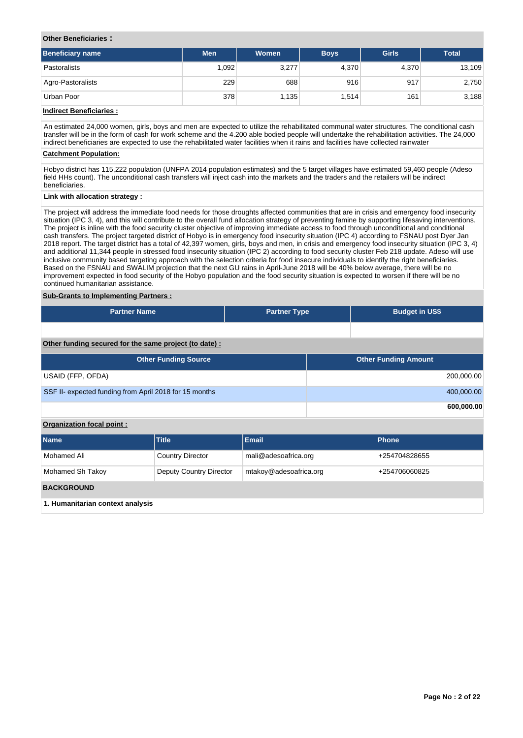## **Other Beneficiaries :**

| <b>Beneficiary name</b> | <b>Men</b> | Women | <b>Total</b> |       |        |
|-------------------------|------------|-------|--------------|-------|--------|
| Pastoralists            | 1,092      | 3,277 | 4,370        | 4,370 | 13,109 |
| Agro-Pastoralists       | 229        | 688   | 916          | 917   | 2,750  |
| Urban Poor              | 378        | 1,135 | 1,514        | 161   | 3,188  |

## **Indirect Beneficiaries :**

An estimated 24,000 women, girls, boys and men are expected to utilize the rehabilitated communal water structures. The conditional cash transfer will be in the form of cash for work scheme and the 4.200 able bodied people will undertake the rehabilitation activities. The 24,000 indirect beneficiaries are expected to use the rehabilitated water facilities when it rains and facilities have collected rainwater

## **Catchment Population:**

Hobyo district has 115,222 population (UNFPA 2014 population estimates) and the 5 target villages have estimated 59,460 people (Adeso field HHs count). The unconditional cash transfers will inject cash into the markets and the traders and the retailers will be indirect beneficiaries.

## **Link with allocation strategy :**

The project will address the immediate food needs for those droughts affected communities that are in crisis and emergency food insecurity situation (IPC 3, 4), and this will contribute to the overall fund allocation strategy of preventing famine by supporting lifesaving interventions. The project is inline with the food security cluster objective of improving immediate access to food through unconditional and conditional cash transfers. The project targeted district of Hobyo is in emergency food insecurity situation (IPC 4) according to FSNAU post Dyer Jan 2018 report. The target district has a total of 42,397 women, girls, boys and men, in crisis and emergency food insecurity situation (IPC 3, 4) and additional 11,344 people in stressed food insecurity situation (IPC 2) according to food security cluster Feb 218 update. Adeso will use inclusive community based targeting approach with the selection criteria for food insecure individuals to identify the right beneficiaries. Based on the FSNAU and SWALIM projection that the next GU rains in April-June 2018 will be 40% below average, there will be no improvement expected in food security of the Hobyo population and the food security situation is expected to worsen if there will be no continued humanitarian assistance.

### **Sub-Grants to Implementing Partners :**

| <b>Partner Name</b>                                    | <b>Partner Type</b> | <b>Budget in US\$</b>       |            |  |  |  |  |
|--------------------------------------------------------|---------------------|-----------------------------|------------|--|--|--|--|
|                                                        |                     |                             |            |  |  |  |  |
|                                                        |                     |                             |            |  |  |  |  |
| Other funding secured for the same project (to date) : |                     |                             |            |  |  |  |  |
| <b>Other Funding Source</b>                            |                     | <b>Other Funding Amount</b> |            |  |  |  |  |
| USAID (FFP, OFDA)                                      |                     |                             | 200,000.00 |  |  |  |  |
| SSF II- expected funding from April 2018 for 15 months |                     |                             | 400,000.00 |  |  |  |  |
|                                                        |                     |                             | 600.000.00 |  |  |  |  |

## **Organization focal point :**

| <b>Name</b>                      | <b>Title</b>            | Email                  | Phone         |
|----------------------------------|-------------------------|------------------------|---------------|
| Mohamed Ali                      | <b>Country Director</b> | mali@adesoafrica.org   | +254704828655 |
| Mohamed Sh Takoy                 | Deputy Country Director | mtakoy@adesoafrica.org | +254706060825 |
| <b>BACKGROUND</b>                |                         |                        |               |
| 1. Humanitarian context analysis |                         |                        |               |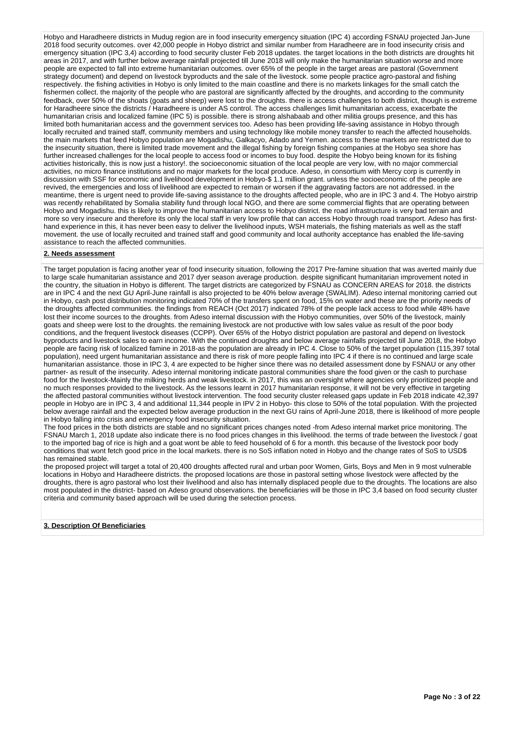Hobyo and Haradheere districts in Mudug region are in food insecurity emergency situation (IPC 4) according FSNAU projected Jan-June 2018 food security outcomes. over 42,000 people in Hobyo district and similar number from Haradheere are in food insecurity crisis and emergency situation (IPC 3,4) according to food security cluster Feb 2018 updates. the target locations in the both districts are droughts hit areas in 2017, and with further below average rainfall projected till June 2018 will only make the humanitarian situation worse and more people are expected to fall into extreme humanitarian outcomes. over 65% of the people in the target areas are pastoral (Government strategy document) and depend on livestock byproducts and the sale of the livestock. some people practice agro-pastoral and fishing respectively. the fishing activities in Hobyo is only limited to the main coastline and there is no markets linkages for the small catch the fishermen collect, the majority of the people who are pastoral are significantly affected by the droughts, and according to the community feedback, over 50% of the shoats (goats and sheep) were lost to the droughts. there is access challenges to both district, though is extreme for Haradheere since the districts / Haradheere is under AS control. The access challenges limit humanitarian access, exacerbate the humanitarian crisis and localized famine (IPC 5) is possible. there is strong alshabaab and other militia groups presence, and this has limited both humanitarian access and the government services too. Adeso has been providing life-saving assistance in Hobyo through locally recruited and trained staff, community members and using technology like mobile money transfer to reach the affected households. the main markets that feed Hobyo population are Mogadishu, Galkacyo, Adado and Yemen. access to these markets are restricted due to the insecurity situation, there is limited trade movement and the illegal fishing by foreign fishing companies at the Hobyo sea shore has further increased challenges for the local people to access food or incomes to buy food. despite the Hobyo being known for its fishing activities historically, this is now just a history!. the socioeconomic situation of the local people are very low, with no major commercial activities, no micro finance institutions and no major markets for the local produce. Adeso, in consortium with Mercy corp is currently in discussion with SSF for economic and livelihood development in Hobyo-\$ 1.1 million grant. unless the socioeconomic of the people are revived, the emergencies and loss of livelihood are expected to remain or worsen if the aggravating factors are not addressed. in the meantime, there is urgent need to provide life-saving assistance to the droughts affected people, who are in IPC 3 and 4. The Hobyo airstrip was recently rehabilitated by Somalia stability fund through local NGO, and there are some commercial flights that are operating between Hobyo and Mogadishu. this is likely to improve the humanitarian access to Hobyo district. the road infrastructure is very bad terrain and more so very insecure and therefore its only the local staff in very low profile that can access Hobyo through road transport. Adeso has firsthand experience in this, it has never been easy to deliver the livelihood inputs, WSH materials, the fishing materials as well as the staff movement. the use of locally recruited and trained staff and good community and local authority acceptance has enabled the life-saving assistance to reach the affected communities.

#### **2. Needs assessment**

The target population is facing another year of food insecurity situation, following the 2017 Pre-famine situation that was averted mainly due to large scale humanitarian assistance and 2017 dyer season average production. despite significant humanitarian improvement noted in the country, the situation in Hobyo is different. The target districts are categorized by FSNAU as CONCERN AREAS for 2018. the districts are in IPC 4 and the next GU April-June rainfall is also projected to be 40% below average (SWALIM). Adeso internal monitoring carried out in Hobyo, cash post distribution monitoring indicated 70% of the transfers spent on food, 15% on water and these are the priority needs of the droughts affected communities. the findings from REACH (Oct 2017) indicated 78% of the people lack access to food while 48% have lost their income sources to the droughts. from Adeso internal discussion with the Hobyo communities, over 50% of the livestock, mainly goats and sheep were lost to the droughts. the remaining livestock are not productive with low sales value as result of the poor body conditions, and the frequent livestock diseases (CCPP). Over 65% of the Hobyo district population are pastoral and depend on livestock byproducts and livestock sales to earn income. With the continued droughts and below average rainfalls projected till June 2018, the Hobyo people are facing risk of localized famine in 2018-as the population are already in IPC 4. Close to 50% of the target population (115,397 total population), need urgent humanitarian assistance and there is risk of more people falling into IPC 4 if there is no continued and large scale humanitarian assistance. those in IPC 3, 4 are expected to be higher since there was no detailed assessment done by FSNAU or any other partner- as result of the insecurity. Adeso internal monitoring indicate pastoral communities share the food given or the cash to purchase food for the livestock-Mainly the milking herds and weak livestock. in 2017, this was an oversight where agencies only prioritized people and no much responses provided to the livestock. As the lessons learnt in 2017 humanitarian response, it will not be very effective in targeting the affected pastoral communities without livestock intervention. The food security cluster released gaps update in Feb 2018 indicate 42,397 people in Hobyo are in IPC 3, 4 and additional 11,344 people in IPV 2 in Hobyo- this close to 50% of the total population. With the projected below average rainfall and the expected below average production in the next GU rains of April-June 2018, there is likelihood of more people in Hobyo falling into crisis and emergency food insecurity situation.

The food prices in the both districts are stable and no significant prices changes noted -from Adeso internal market price monitoring. The FSNAU March 1, 2018 update also indicate there is no food prices changes in this livelihood. the terms of trade between the livestock / goat to the imported bag of rice is high and a goat wont be able to feed household of 6 for a month. this because of the livestock poor body conditions that wont fetch good price in the local markets. there is no SoS inflation noted in Hobyo and the change rates of SoS to USD\$ has remained stable.

the proposed project will target a total of 20,400 droughts affected rural and urban poor Women, Girls, Boys and Men in 9 most vulnerable locations in Hobyo and Haradheere districts. the proposed locations are those in pastoral setting whose livestock were affected by the droughts, there is agro pastoral who lost their livelihood and also has internally displaced people due to the droughts. The locations are also most populated in the district- based on Adeso ground observations. the beneficiaries will be those in IPC 3,4 based on food security cluster criteria and community based approach will be used during the selection process.

#### **3. Description Of Beneficiaries**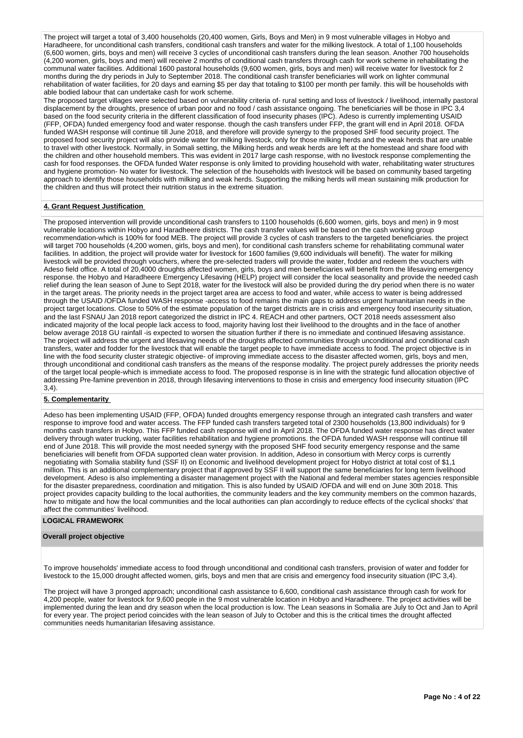The project will target a total of 3,400 households (20,400 women, Girls, Boys and Men) in 9 most vulnerable villages in Hobyo and Haradheere, for unconditional cash transfers, conditional cash transfers and water for the milking livestock. A total of 1,100 households (6,600 women, girls, boys and men) will receive 3 cycles of unconditional cash transfers during the lean season. Another 700 households (4,200 women, girls, boys and men) will receive 2 months of conditional cash transfers through cash for work scheme in rehabilitating the communal water facilities. Additional 1600 pastoral households (9,600 women, girls, boys and men) will receive water for livestock for 2 months during the dry periods in July to September 2018. The conditional cash transfer beneficiaries will work on lighter communal rehabilitation of water facilities, for 20 days and earning \$5 per day that totaling to \$100 per month per family. this will be households with able bodied labour that can undertake cash for work scheme.

The proposed target villages were selected based on vulnerability criteria of- rural setting and loss of livestock / livelihood, internally pastoral displacement by the droughts, presence of urban poor and no food / cash assistance ongoing. The beneficiaries will be those in IPC 3,4 based on the food security criteria in the different classification of food insecurity phases (IPC). Adeso is currently implementing USAID (FFP, OFDA) funded emergency food and water response. though the cash transfers under FFP, the grant will end in April 2018. OFDA funded WASH response will continue till June 2018, and therefore will provide synergy to the proposed SHF food security project. The proposed food security project will also provide water for milking livestock, only for those milking herds and the weak herds that are unable to travel with other livestock. Normally, in Somali setting, the Milking herds and weak herds are left at the homestead and share food with the children and other household members. This was evident in 2017 large cash response, with no livestock response complementing the cash for food responses. the OFDA funded Water response is only limited to providing household with water, rehabilitating water structures and hygiene promotion- No water for livestock. The selection of the households with livestock will be based on community based targeting approach to identify those households with milking and weak herds. Supporting the milking herds will mean sustaining milk production for the children and thus will protect their nutrition status in the extreme situation.

## **4. Grant Request Justification**

The proposed intervention will provide unconditional cash transfers to 1100 households (6,600 women, girls, boys and men) in 9 most vulnerable locations within Hobyo and Haradheere districts. The cash transfer values will be based on the cash working group recommendation-which is 100% for food MEB. The project will provide 3 cycles of cash transfers to the targeted beneficiaries. the project will target 700 households (4,200 women, girls, boys and men), for conditional cash transfers scheme for rehabilitating communal water facilities. In addition, the project will provide water for livestock for 1600 families (9,600 individuals will benefit). The water for milking livestock will be provided through vouchers, where the pre-selected traders will provide the water, fodder and redeem the vouchers with Adeso field office. A total of 20,4000 droughts affected women, girls, boys and men beneficiaries will benefit from the lifesaving emergency response. the Hobyo and Haradheere Emergency Lifesaving (HELP) project will consider the local seasonality and provide the needed cash relief during the lean season of June to Sept 2018, water for the livestock will also be provided during the dry period when there is no water in the target areas. The priority needs in the project target area are access to food and water, while access to water is being addressed through the USAID /OFDA funded WASH response -access to food remains the main gaps to address urgent humanitarian needs in the project target locations. Close to 50% of the estimate population of the target districts are in crisis and emergency food insecurity situation, and the last FSNAU Jan 2018 report categorized the district in IPC 4. REACH and other partners, OCT 2018 needs assessment also indicated majority of the local people lack access to food, majority having lost their livelihood to the droughts and in the face of another below average 2018 GU rainfall -is expected to worsen the situation further if there is no immediate and continued lifesaving assistance. The project will address the urgent and lifesaving needs of the droughts affected communities through unconditional and conditional cash transfers, water and fodder for the livestock that will enable the target people to have immediate access to food. The project objective is in line with the food security cluster strategic objective- of improving immediate access to the disaster affected women, girls, boys and men, through unconditional and conditional cash transfers as the means of the response modality. The project purely addresses the priority needs of the target local people-which is immediate access to food. The proposed response is in line with the strategic fund allocation objective of addressing Pre-famine prevention in 2018, through lifesaving interventions to those in crisis and emergency food insecurity situation (IPC 3,4).

## **5. Complementarity**

Adeso has been implementing USAID (FFP, OFDA) funded droughts emergency response through an integrated cash transfers and water response to improve food and water access. The FFP funded cash transfers targeted total of 2300 households (13,800 individuals) for 9 months cash transfers in Hobyo. This FFP funded cash response will end in April 2018. The OFDA funded water response has direct water delivery through water trucking, water facilities rehabilitation and hygiene promotions. the OFDA funded WASH response will continue till end of June 2018. This will provide the most needed synergy with the proposed SHF food security emergency response and the same beneficiaries will benefit from OFDA supported clean water provision. In addition, Adeso in consortium with Mercy corps is currently negotiating with Somalia stability fund (SSF II) on Economic and livelihood development project for Hobyo district at total cost of \$1,1 million. This is an additional complementary project that if approved by SSF II will support the same beneficiaries for long term livelihood development. Adeso is also implementing a disaster management project with the National and federal member states agencies responsible for the disaster preparedness, coordination and mitigation. This is also funded by USAID /OFDA and will end on June 30th 2018. This project provides capacity building to the local authorities, the community leaders and the key community members on the common hazards, how to mitigate and how the local communities and the local authorities can plan accordingly to reduce effects of the cyclical shocks' that affect the communities' livelihood.

#### **LOGICAL FRAMEWORK**

### **Overall project objective**

To improve households' immediate access to food through unconditional and conditional cash transfers, provision of water and fodder for livestock to the 15,000 drought affected women, girls, boys and men that are crisis and emergency food insecurity situation (IPC 3,4).

The project will have 3 pronged approach; unconditional cash assistance to 6,600, conditional cash assistance through cash for work for 4,200 people, water for livestock for 9,600 people in the 9 most vulnerable location in Hobyo and Haradheere. The project activities will be implemented during the lean and dry season when the local production is low. The Lean seasons in Somalia are July to Oct and Jan to April for every year. The project period coincides with the lean season of July to October and this is the critical times the drought affected communities needs humanitarian lifesaving assistance.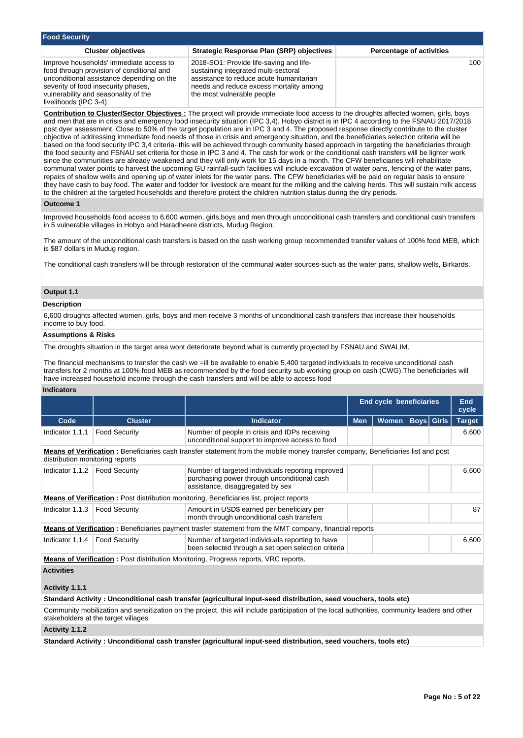| <b>Food Security</b>                                                                                                                                                                                                                      |                                                                                                                                                                                                     |                                 |  |  |  |  |  |  |  |  |
|-------------------------------------------------------------------------------------------------------------------------------------------------------------------------------------------------------------------------------------------|-----------------------------------------------------------------------------------------------------------------------------------------------------------------------------------------------------|---------------------------------|--|--|--|--|--|--|--|--|
| <b>Cluster objectives</b>                                                                                                                                                                                                                 | <b>Strategic Response Plan (SRP) objectives</b>                                                                                                                                                     | <b>Percentage of activities</b> |  |  |  |  |  |  |  |  |
| Improve households' immediate access to<br>food through provision of conditional and<br>unconditional assistance depending on the<br>severity of food insecurity phases,<br>vulnerability and seasonality of the<br>livelihoods (IPC 3-4) | 2018-SO1: Provide life-saving and life-<br>sustaining integrated multi-sectoral<br>assistance to reduce acute humanitarian<br>needs and reduce excess mortality among<br>the most vulnerable people | 100                             |  |  |  |  |  |  |  |  |

**Contribution to Cluster/Sector Objectives :** The project will provide immediate food access to the droughts affected women, girls, boys and men that are in crisis and emergency food insecurity situation (IPC 3,4). Hobyo district is in IPC 4 according to the FSNAU 2017/2018 post dyer assessment. Close to 50% of the target population are in IPC 3 and 4. The proposed response directly contribute to the cluster objective of addressing immediate food needs of those in crisis and emergency situation, and the beneficiaries selection criteria will be based on the food security IPC 3,4 criteria- this will be achieved through community based approach in targeting the beneficiaries through the food security and FSNAU set criteria for those in IPC 3 and 4. The cash for work or the conditional cash transfers will be lighter work since the communities are already weakened and they will only work for 15 days in a month. The CFW beneficiaries will rehabilitate communal water points to harvest the upcoming GU rainfall-such facilities will include excavation of water pans, fencing of the water pans, repairs of shallow wells and opening up of water inlets for the water pans. The CFW beneficiaries will be paid on regular basis to ensure they have cash to buy food. The water and fodder for livestock are meant for the milking and the calving herds. This will sustain milk access to the children at the targeted households and therefore protect the children nutrition status during the dry periods.

#### **Outcome 1**

Improved households food access to 6,600 women, girls,boys and men through unconditional cash transfers and conditional cash transfers in 5 vulnerable villages in Hobyo and Haradheere districts, Mudug Region.

The amount of the unconditional cash transfers is based on the cash working group recommended transfer values of 100% food MEB, which is \$87 dollars in Mudug region.

The conditional cash transfers will be through restoration of the communal water sources-such as the water pans, shallow wells, Birkards.

## **Output 1.1**

## **Description**

6,600 droughts affected women, girls, boys and men receive 3 months of unconditional cash transfers that increase their households income to buy food.

## **Assumptions & Risks**

The droughts situation in the target area wont deteriorate beyond what is currently projected by FSNAU and SWALIM.

The financial mechanisms to transfer the cash we =ill be available to enable 5,400 targeted individuals to receive unconditional cash transfers for 2 months at 100% food MEB as recommended by the food security sub working group on cash (CWG).The beneficiaries will have increased household income through the cash transfers and will be able to access food

### **Indicators**

|                                                                                            |                      |                                                                                                                                          |            | End cycle beneficiaries |                   |       | <b>End</b><br>cycle |
|--------------------------------------------------------------------------------------------|----------------------|------------------------------------------------------------------------------------------------------------------------------------------|------------|-------------------------|-------------------|-------|---------------------|
| Code                                                                                       | <b>Cluster</b>       | <b>Indicator</b>                                                                                                                         | <b>Men</b> | <b>Women</b>            | <b>Boys Girls</b> |       | <b>Target</b>       |
| Indicator 1.1.1                                                                            | <b>Food Security</b> | Number of people in crisis and IDPs receiving<br>unconditional support to improve access to food                                         |            |                         |                   |       | 6,600               |
| distribution monitoring reports                                                            |                      | <b>Means of Verification</b> : Beneficiaries cash transfer statement from the mobile money transfer company, Beneficiaries list and post |            |                         |                   |       |                     |
| Indicator 1.1.2                                                                            | <b>Food Security</b> | Number of targeted individuals reporting improved<br>purchasing power through unconditional cash<br>assistance, disaggregated by sex     |            |                         |                   | 6,600 |                     |
|                                                                                            |                      | <b>Means of Verification:</b> Post distribution monitoring, Beneficiaries list, project reports                                          |            |                         |                   |       |                     |
| Indicator 1.1.3                                                                            | <b>Food Security</b> | Amount in USD\$ earned per beneficiary per<br>month through unconditional cash transfers                                                 |            |                         |                   |       | 87                  |
|                                                                                            |                      | <b>Means of Verification</b> : Beneficiaries payment trasfer statement from the MMT company, financial reports                           |            |                         |                   |       |                     |
| Indicator 1.1.4                                                                            | <b>Food Security</b> | Number of targeted individuals reporting to have<br>been selected through a set open selection criteria                                  |            |                         |                   |       | 6,600               |
| <b>Means of Verification:</b> Post distribution Monitoring, Progress reports, VRC reports. |                      |                                                                                                                                          |            |                         |                   |       |                     |
| <b>Activities</b><br>Activity 1.1.1                                                        |                      |                                                                                                                                          |            |                         |                   |       |                     |

**Standard Activity : Unconditional cash transfer (agricultural input-seed distribution, seed vouchers, tools etc)**

Community mobilization and sensitization on the project. this will include participation of the local authorities, community leaders and other stakeholders at the target villages

## **Activity 1.1.2**

**Standard Activity : Unconditional cash transfer (agricultural input-seed distribution, seed vouchers, tools etc)**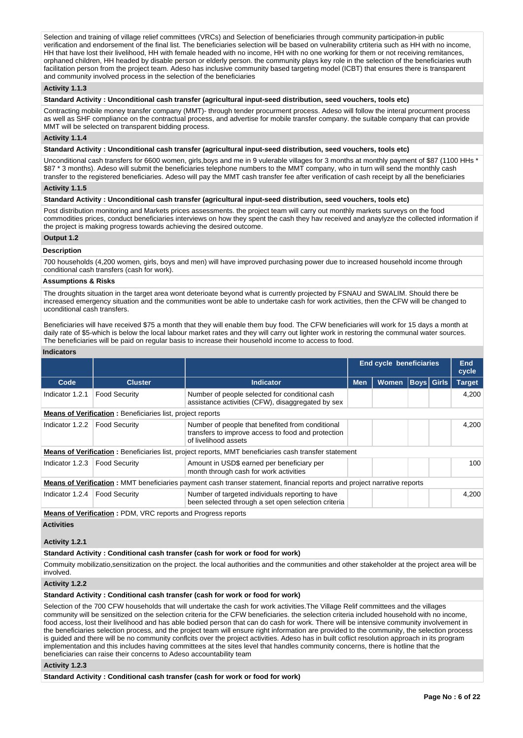Selection and training of village relief committees (VRCs) and Selection of beneficiaries through community participation-in public verification and endorsement of the final list. The beneficiaries selection will be based on vulnerability crtiteria such as HH with no income, HH that have lost their livelihood, HH with female headed with no income, HH with no one working for them or not receiving remitances, orphaned children, HH headed by disable person or elderly person. the community plays key role in the selection of the beneficiaries wuth facilitation person from the project team. Adeso has inclusive community based targeting model (ICBT) that ensures there is transparent and community involved process in the selection of the beneficiaries

## **Activity 1.1.3**

**Standard Activity : Unconditional cash transfer (agricultural input-seed distribution, seed vouchers, tools etc)**

Contracting mobile money transfer company (MMT)- through tender procurment process. Adeso will follow the interal procurment process as well as SHF compliance on the contractual process, and advertise for mobile transfer company. the suitable company that can provide MMT will be selected on transparent bidding process.

## **Activity 1.1.4**

**Standard Activity : Unconditional cash transfer (agricultural input-seed distribution, seed vouchers, tools etc)**

Unconditional cash transfers for 6600 women, girls,boys and me in 9 vulerable villages for 3 months at monthly payment of \$87 (1100 HHs \* \$87 \* 3 months). Adeso will submit the beneficiaries telephone numbers to the MMT company, who in turn will send the monthly cash transfer to the registered beneficiaries. Adeso will pay the MMT cash transfer fee after verification of cash receipt by all the beneficiaries

## **Activity 1.1.5**

**Standard Activity : Unconditional cash transfer (agricultural input-seed distribution, seed vouchers, tools etc)**

Post distribution monitoring and Markets prices assessments. the project team will carry out monthly markets surveys on the food commodities prices, conduct beneficiaries interviews on how they spent the cash they hav received and anaylyze the collected information if the project is making progress towards achieving the desired outcome.

### **Output 1.2**

### **Description**

700 households (4,200 women, girls, boys and men) will have improved purchasing power due to increased household income through conditional cash transfers (cash for work).

#### **Assumptions & Risks**

The droughts situation in the target area wont deterioate beyond what is currently projected by FSNAU and SWALIM. Should there be increased emergency situation and the communities wont be able to undertake cash for work activities, then the CFW will be changed to uconditional cash transfers.

Beneficiaries will have received \$75 a month that they will enable them buy food. The CFW beneficiaries will work for 15 days a month at daily rate of \$5-which is below the local labour market rates and they will carry out lighter work in restoring the communal water sources. The beneficiaries will be paid on regular basis to increase their household income to access to food.

### **Indicators**

|                                                                     |                                                                                                                                 |                                                                                                                                  |            | <b>End cycle beneficiaries</b> |  |                   | <b>End</b><br>cycle |  |
|---------------------------------------------------------------------|---------------------------------------------------------------------------------------------------------------------------------|----------------------------------------------------------------------------------------------------------------------------------|------------|--------------------------------|--|-------------------|---------------------|--|
| Code                                                                | <b>Cluster</b>                                                                                                                  | <b>Indicator</b>                                                                                                                 | <b>Men</b> | Women                          |  | <b>Boys Girls</b> | <b>Target</b>       |  |
| Indicator 1.2.1                                                     | <b>Food Security</b>                                                                                                            | Number of people selected for conditional cash<br>assistance activities (CFW), disaggregated by sex                              |            |                                |  |                   | 4.200               |  |
|                                                                     | <b>Means of Verification:</b> Beneficiaries list, project reports                                                               |                                                                                                                                  |            |                                |  |                   |                     |  |
| Indicator 1.2.2                                                     | <b>Food Security</b>                                                                                                            | Number of people that benefited from conditional<br>transfers to improve access to food and protection<br>of livelihood assets   |            |                                |  |                   | 4.200               |  |
|                                                                     |                                                                                                                                 | <b>Means of Verification</b> : Beneficiaries list, project reports, MMT beneficiaries cash transfer statement                    |            |                                |  |                   |                     |  |
| Indicator $1.2.3$                                                   | Food Security                                                                                                                   | Amount in USD\$ earned per beneficiary per<br>month through cash for work activities                                             |            |                                |  |                   | 100                 |  |
|                                                                     |                                                                                                                                 | <b>Means of Verification</b> : MMT beneficiaries payment cash transer statement, financial reports and project narrative reports |            |                                |  |                   |                     |  |
| Indicator $1.2.4$                                                   | <b>Food Security</b><br>Number of targeted individuals reporting to have<br>been selected through a set open selection criteria |                                                                                                                                  |            |                                |  |                   | 4,200               |  |
| <b>Means of Verification:</b> PDM, VRC reports and Progress reports |                                                                                                                                 |                                                                                                                                  |            |                                |  |                   |                     |  |
| <b>Activities</b>                                                   |                                                                                                                                 |                                                                                                                                  |            |                                |  |                   |                     |  |

## **Activity 1.2.1**

**Standard Activity : Conditional cash transfer (cash for work or food for work)**

Commuity mobilizatio,sensitization on the project. the local authorities and the communities and other stakeholder at the project area will be involved.

## **Activity 1.2.2**

#### **Standard Activity : Conditional cash transfer (cash for work or food for work)**

Selection of the 700 CFW households that will undertake the cash for work activities.The Village Relif committees and the villages community will be sensitized on the selection criteria for the CFW beneficiaries. the selection criteria included household with no income, food access, lost their livelihood and has able bodied person that can do cash for work. There will be intensive community involvement in the beneficiaries selection process, and the project team will ensure right information are provided to the community, the selection process is guided and there will be no community conflcits over the project activities. Adeso has in built coflict resolution approach in its program implementation and this includes having committees at the sites level that handles community concerns, there is hotline that the beneficiaries can raise their concerns to Adeso accountability team

#### **Activity 1.2.3**

**Standard Activity : Conditional cash transfer (cash for work or food for work)**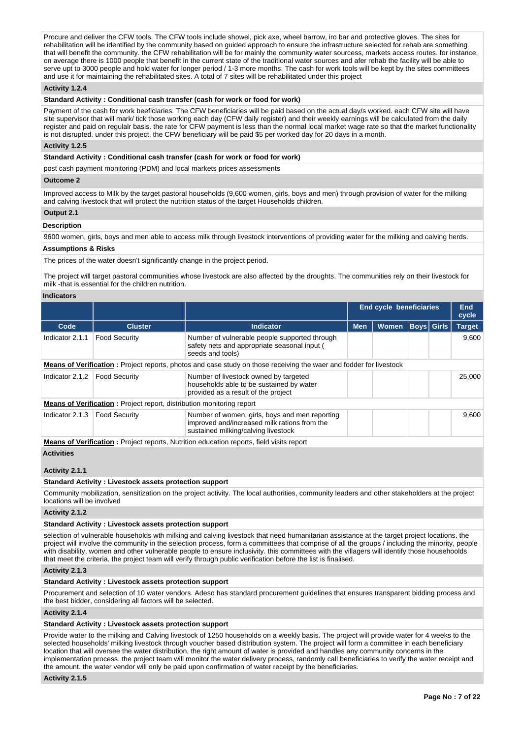Procure and deliver the CFW tools. The CFW tools include showel, pick axe, wheel barrow, iro bar and protective gloves. The sites for rehabilitation will be identified by the community based on guided approach to ensure the infrastructure selected for rehab are something that will benefit the community. the CFW rehabilitation will be for mainly the community water sourcess, markets access routes. for instance, on average there is 1000 people that benefit in the current state of the traditional water sources and afer rehab the facility will be able to serve upt to 3000 people and hold water for longer period / 1-3 more months. The cash for work tools will be kept by the sites committees and use it for maintaining the rehabilitated sites. A total of 7 sites will be rehabilitated under this project

### **Activity 1.2.4**

#### **Standard Activity : Conditional cash transfer (cash for work or food for work)**

Payment of the cash for work beeficiaries. The CFW beneficiaries will be paid based on the actual day/s worked. each CFW site will have site supervisor that will mark/ tick those working each day (CFW daily register) and their weekly earnings will be calculated from the daily register and paid on regulalr basis. the rate for CFW payment is less than the normal local market wage rate so that the market functionality is not disrupted. under this project, the CFW beneficiary will be paid \$5 per worked day for 20 days in a month.

#### **Activity 1.2.5**

### **Standard Activity : Conditional cash transfer (cash for work or food for work)**

post cash payment monitoring (PDM) and local markets prices assessments

#### **Outcome 2**

Improved access to Milk by the target pastoral households (9,600 women, girls, boys and men) through provision of water for the milking and calving livestock that will protect the nutrition status of the target Households children.

#### **Output 2.1**

#### **Description**

9600 women, girls, boys and men able to access milk through livestock interventions of providing water for the milking and calving herds.

#### **Assumptions & Risks**

The prices of the water doesn't significantly change in the project period.

The project will target pastoral communities whose livestock are also affected by the droughts. The communities rely on their livestock for milk -that is essential for the children nutrition.

#### **Indicators**

| inuivatvi ə                                                                                     |                                                                              |                                                                                                                                       |                                |              |                   |  |               |  |
|-------------------------------------------------------------------------------------------------|------------------------------------------------------------------------------|---------------------------------------------------------------------------------------------------------------------------------------|--------------------------------|--------------|-------------------|--|---------------|--|
|                                                                                                 |                                                                              |                                                                                                                                       | <b>End cycle beneficiaries</b> |              |                   |  | End<br>cycle  |  |
| Code                                                                                            | <b>Cluster</b>                                                               | <b>Indicator</b>                                                                                                                      | <b>Men</b>                     | <b>Women</b> | <b>Boys</b> Girls |  | <b>Target</b> |  |
| Indicator 2.1.1                                                                                 | <b>Food Security</b>                                                         | Number of vulnerable people supported through<br>safety nets and appropriate seasonal input (<br>seeds and tools)                     |                                |              |                   |  | 9,600         |  |
|                                                                                                 |                                                                              | <b>Means of Verification</b> : Project reports, photos and case study on those receiving the waer and fodder for livestock            |                                |              |                   |  |               |  |
| Indicator 2.1.2                                                                                 | <b>Food Security</b>                                                         | Number of livestock owned by targeted<br>households able to be sustained by water<br>provided as a result of the project              |                                |              |                   |  | 25,000        |  |
|                                                                                                 | <b>Means of Verification:</b> Project report, distribution monitoring report |                                                                                                                                       |                                |              |                   |  |               |  |
| Indicator 2.1.3                                                                                 | <b>Food Security</b>                                                         | Number of women, girls, boys and men reporting<br>improved and/increased milk rations from the<br>sustained milking/calving livestock |                                |              |                   |  | 9,600         |  |
| <b>Means of Verification:</b> Project reports, Nutrition education reports, field visits report |                                                                              |                                                                                                                                       |                                |              |                   |  |               |  |
| <b>Activities</b>                                                                               |                                                                              |                                                                                                                                       |                                |              |                   |  |               |  |

#### **Activity 2.1.1**

#### **Standard Activity : Livestock assets protection support**

Community mobilization, sensitization on the project activity. The local authorities, community leaders and other stakeholders at the project locations will be involved

#### **Activity 2.1.2**

## **Standard Activity : Livestock assets protection support**

selection of vulnerable households wth milking and calving livestock that need humanitarian assistance at the target project locations. the project will involve the community in the selection process, form a committees that comprise of all the groups / including the minority, people with disability, women and other vulnerable people to ensure inclusivity. this committees with the villagers will identify those househoolds that meet the criteria. the project team will verify through public verification before the list is finalised.

### **Activity 2.1.3**

## **Standard Activity : Livestock assets protection support**

Procurement and selection of 10 water vendors. Adeso has standard procurement guidelines that ensures transparent bidding process and the best bidder, considering all factors will be selected.

#### **Activity 2.1.4**

### **Standard Activity : Livestock assets protection support**

Provide water to the milking and Calving livestock of 1250 households on a weekly basis. The project will provide water for 4 weeks to the selected households' milking livestock through voucher based distribution system. The project will form a committee in each beneficiary location that will oversee the water distribution, the right amount of water is provided and handles any community concerns in the implementation process. the project team will monitor the water delivery process, randomly call beneficiaries to verify the water receipt and the amount. the water vendor will only be paid upon confirmation of water receipt by the beneficiaries.

#### **Activity 2.1.5**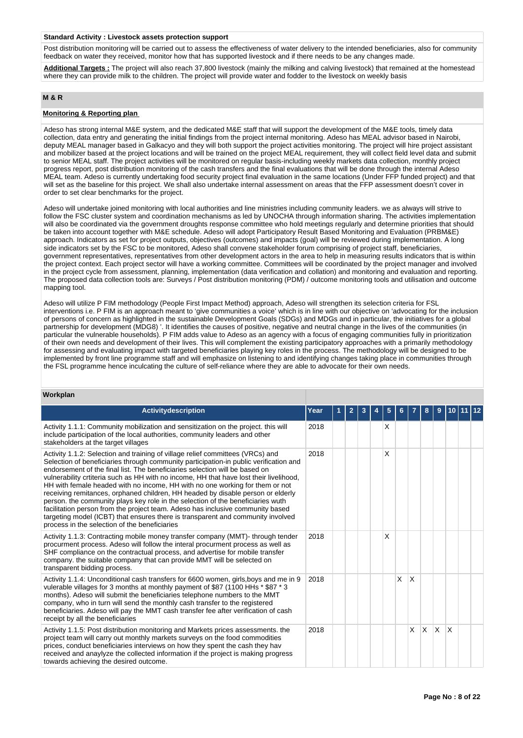#### **Standard Activity : Livestock assets protection support**

Post distribution monitoring will be carried out to assess the effectiveness of water delivery to the intended beneficiaries, also for community feedback on water they received, monitor how that has supported livestock and if there needs to be any changes made.

**Additional Targets :** The project will also reach 37,800 livestock (mainly the milking and calving livestock) that remained at the homestead where they can provide milk to the children. The project will provide water and fodder to the livestock on weekly basis

## **M & R**

## **Monitoring & Reporting plan**

Adeso has strong internal M&E system, and the dedicated M&E staff that will support the development of the M&E tools, timely data collection, data entry and generating the initial findings from the project internal monitoring. Adeso has MEAL advisor based in Nairobi, deputy MEAL manager based in Galkacyo and they will both support the project activities monitoring. The project will hire project assistant and mobilizer based at the project locations and will be trained on the project MEAL requirement, they will collect field level data and submit to senior MEAL staff. The project activities will be monitored on regular basis-including weekly markets data collection, monthly project progress report, post distribution monitoring of the cash transfers and the final evaluations that will be done through the internal Adeso MEAL team. Adeso is currently undertaking food security project final evaluation in the same locations (Under FFP funded project) and that will set as the baseline for this project. We shall also undertake internal assessment on areas that the FFP assessment doesn't cover in order to set clear benchmarks for the project.

Adeso will undertake joined monitoring with local authorities and line ministries including community leaders. we as always will strive to follow the FSC cluster system and coordination mechanisms as led by UNOCHA through information sharing. The activities implementation will also be coordinated via the government droughts response committee who hold meetings regularly and determine priorities that should be taken into account together with M&E schedule. Adeso will adopt Participatory Result Based Monitoring and Evaluation (PRBM&E) approach. Indicators as set for project outputs, objectives (outcomes) and impacts (goal) will be reviewed during implementation. A long side indicators set by the FSC to be monitored, Adeso shall convene stakeholder forum comprising of project staff, beneficiaries, government representatives, representatives from other development actors in the area to help in measuring results indicators that is within the project context. Each project sector will have a working committee. Committees will be coordinated by the project manager and involved in the project cycle from assessment, planning, implementation (data verification and collation) and monitoring and evaluation and reporting. The proposed data collection tools are: Surveys / Post distribution monitoring (PDM) / outcome monitoring tools and utilisation and outcome mapping tool.

Adeso will utilize P FIM methodology (People First Impact Method) approach, Adeso will strengthen its selection criteria for FSL interventions i.e. P FIM is an approach meant to 'give communities a voice' which is in line with our objective on 'advocating for the inclusion of persons of concern as highlighted in the sustainable Development Goals (SDGs) and MDGs and in particular, the initiatives for a global partnership for development (MDG8) '. It identifies the causes of positive, negative and neutral change in the lives of the communities (in particular the vulnerable households). P FIM adds value to Adeso as an agency with a focus of engaging communities fully in prioritization of their own needs and development of their lives. This will complement the existing participatory approaches with a primarily methodology for assessing and evaluating impact with targeted beneficiaries playing key roles in the process. The methodology will be designed to be implemented by front line programme staff and will emphasize on listening to and identifying changes taking place in communities through the FSL programme hence inculcating the culture of self-reliance where they are able to advocate for their own needs.

### **Workplan**

| <b>Activitydescription</b>                                                                                                                                                                                                                                                                                                                                                                                                                                                                                                                                                                                                                                                                                                                                                                                                   | Year | 2 |  | 5 |   |              |          | 9        |   |  |
|------------------------------------------------------------------------------------------------------------------------------------------------------------------------------------------------------------------------------------------------------------------------------------------------------------------------------------------------------------------------------------------------------------------------------------------------------------------------------------------------------------------------------------------------------------------------------------------------------------------------------------------------------------------------------------------------------------------------------------------------------------------------------------------------------------------------------|------|---|--|---|---|--------------|----------|----------|---|--|
| Activity 1.1.1: Community mobilization and sensitization on the project. this will<br>include participation of the local authorities, community leaders and other<br>stakeholders at the target villages                                                                                                                                                                                                                                                                                                                                                                                                                                                                                                                                                                                                                     | 2018 |   |  | X |   |              |          |          |   |  |
| Activity 1.1.2: Selection and training of village relief committees (VRCs) and<br>Selection of beneficiaries through community participation-in public verification and<br>endorsement of the final list. The beneficiaries selection will be based on<br>vulnerability crtiteria such as HH with no income, HH that have lost their livelihood,<br>HH with female headed with no income, HH with no one working for them or not<br>receiving remitances, orphaned children, HH headed by disable person or elderly<br>person. the community plays key role in the selection of the beneficiaries wuth<br>facilitation person from the project team. Adeso has inclusive community based<br>targeting model (ICBT) that ensures there is transparent and community involved<br>process in the selection of the beneficiaries | 2018 |   |  | X |   |              |          |          |   |  |
| Activity 1.1.3: Contracting mobile money transfer company (MMT)- through tender<br>procurment process. Adeso will follow the interal procurment process as well as<br>SHF compliance on the contractual process, and advertise for mobile transfer<br>company. the suitable company that can provide MMT will be selected on<br>transparent bidding process.                                                                                                                                                                                                                                                                                                                                                                                                                                                                 | 2018 |   |  | X |   |              |          |          |   |  |
| Activity 1.1.4: Unconditional cash transfers for 6600 women, girls, boys and me in 9<br>vulerable villages for 3 months at monthly payment of \$87 (1100 HHs * \$87 * 3<br>months). Adeso will submit the beneficiaries telephone numbers to the MMT<br>company, who in turn will send the monthly cash transfer to the registered<br>beneficiaries. Adeso will pay the MMT cash transfer fee after verification of cash<br>receipt by all the beneficiaries                                                                                                                                                                                                                                                                                                                                                                 | 2018 |   |  |   | X | $\mathsf{X}$ |          |          |   |  |
| Activity 1.1.5: Post distribution monitoring and Markets prices assessments. the<br>project team will carry out monthly markets surveys on the food commodities<br>prices, conduct beneficiaries interviews on how they spent the cash they have<br>received and anaylyze the collected information if the project is making progress<br>towards achieving the desired outcome.                                                                                                                                                                                                                                                                                                                                                                                                                                              | 2018 |   |  |   |   | X            | <b>X</b> | <b>X</b> | X |  |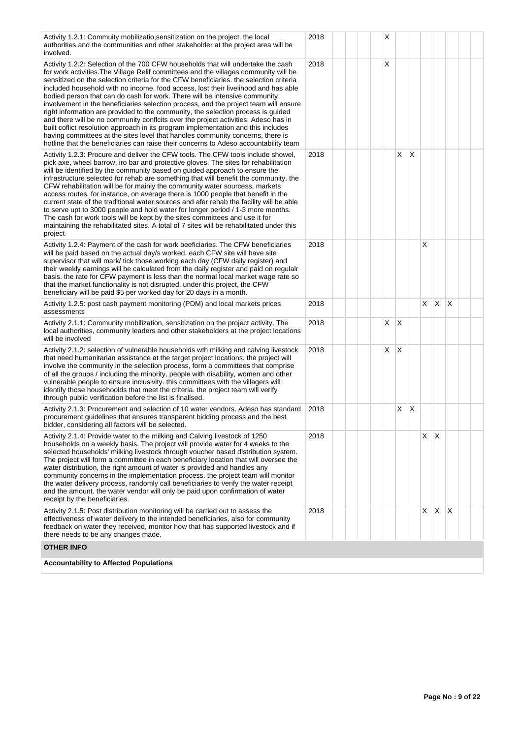| Activity 1.2.1: Commuity mobilizatio, sensitization on the project. the local<br>authorities and the communities and other stakeholder at the project area will be<br>involved.                                                                                                                                                                                                                                                                                                                                                                                                                                                                                                                                                                                                                                                                                                                                                                                         | 2018 | х |    |    |    |              |   |  |
|-------------------------------------------------------------------------------------------------------------------------------------------------------------------------------------------------------------------------------------------------------------------------------------------------------------------------------------------------------------------------------------------------------------------------------------------------------------------------------------------------------------------------------------------------------------------------------------------------------------------------------------------------------------------------------------------------------------------------------------------------------------------------------------------------------------------------------------------------------------------------------------------------------------------------------------------------------------------------|------|---|----|----|----|--------------|---|--|
| Activity 1.2.2: Selection of the 700 CFW households that will undertake the cash<br>for work activities. The Village Relif committees and the villages community will be<br>sensitized on the selection criteria for the CFW beneficiaries, the selection criteria<br>included household with no income, food access, lost their livelihood and has able<br>bodied person that can do cash for work. There will be intensive community<br>involvement in the beneficiaries selection process, and the project team will ensure<br>right information are provided to the community, the selection process is guided<br>and there will be no community conflcits over the project activities. Adeso has in<br>built coflict resolution approach in its program implementation and this includes<br>having committees at the sites level that handles community concerns, there is<br>hotline that the beneficiaries can raise their concerns to Adeso accountability team | 2018 | X |    |    |    |              |   |  |
| Activity 1.2.3: Procure and deliver the CFW tools. The CFW tools include showel,<br>pick axe, wheel barrow, iro bar and protective gloves. The sites for rehabilitation<br>will be identified by the community based on guided approach to ensure the<br>infrastructure selected for rehab are something that will benefit the community. the<br>CFW rehabilitation will be for mainly the community water sourcess, markets<br>access routes. for instance, on average there is 1000 people that benefit in the<br>current state of the traditional water sources and afer rehab the facility will be able<br>to serve upt to 3000 people and hold water for longer period / 1-3 more months.<br>The cash for work tools will be kept by the sites committees and use it for<br>maintaining the rehabilitated sites. A total of 7 sites will be rehabilitated under this<br>project                                                                                    | 2018 |   | X. | ΙX |    |              |   |  |
| Activity 1.2.4: Payment of the cash for work beeficiaries. The CFW beneficiaries<br>will be paid based on the actual day/s worked. each CFW site will have site<br>supervisor that will mark/ tick those working each day (CFW daily register) and<br>their weekly earnings will be calculated from the daily register and paid on regulalr<br>basis, the rate for CFW payment is less than the normal local market wage rate so<br>that the market functionality is not disrupted, under this project, the CFW<br>beneficiary will be paid \$5 per worked day for 20 days in a month.                                                                                                                                                                                                                                                                                                                                                                                  | 2018 |   |    |    | X  |              |   |  |
| Activity 1.2.5: post cash payment monitoring (PDM) and local markets prices<br>assessments                                                                                                                                                                                                                                                                                                                                                                                                                                                                                                                                                                                                                                                                                                                                                                                                                                                                              | 2018 |   |    |    | X. | $\mathsf{X}$ | X |  |
| Activity 2.1.1: Community mobilization, sensitization on the project activity. The<br>local authorities, community leaders and other stakeholders at the project locations<br>will be involved                                                                                                                                                                                                                                                                                                                                                                                                                                                                                                                                                                                                                                                                                                                                                                          | 2018 | X | X  |    |    |              |   |  |
| Activity 2.1.2: selection of vulnerable households wth milking and calving livestock<br>that need humanitarian assistance at the target project locations. the project will<br>involve the community in the selection process, form a committees that comprise<br>of all the groups / including the minority, people with disability, women and other<br>vulnerable people to ensure inclusivity. this committees with the villagers will<br>identify those househoolds that meet the criteria. the project team will verify<br>through public verification before the list is finalised.                                                                                                                                                                                                                                                                                                                                                                               | 2018 | X | X  |    |    |              |   |  |
| Activity 2.1.3: Procurement and selection of 10 water vendors. Adeso has standard<br>procurement guidelines that ensures transparent bidding process and the best<br>bidder, considering all factors will be selected.                                                                                                                                                                                                                                                                                                                                                                                                                                                                                                                                                                                                                                                                                                                                                  | 2018 |   | X  | X  |    |              |   |  |
| Activity 2.1.4: Provide water to the milking and Calving livestock of 1250<br>households on a weekly basis. The project will provide water for 4 weeks to the<br>selected households' milking livestock through voucher based distribution system.<br>The project will form a committee in each beneficiary location that will oversee the<br>water distribution, the right amount of water is provided and handles any<br>community concerns in the implementation process. the project team will monitor<br>the water delivery process, randomly call beneficiaries to verify the water receipt<br>and the amount. the water vendor will only be paid upon confirmation of water<br>receipt by the beneficiaries.                                                                                                                                                                                                                                                     | 2018 |   |    |    | X. | X            |   |  |
| Activity 2.1.5: Post distribution monitoring will be carried out to assess the<br>effectiveness of water delivery to the intended beneficiaries, also for community<br>feedback on water they received, monitor how that has supported livestock and if<br>there needs to be any changes made.                                                                                                                                                                                                                                                                                                                                                                                                                                                                                                                                                                                                                                                                          | 2018 |   |    |    | X. | $\mathsf{X}$ | Χ |  |
| <b>OTHER INFO</b>                                                                                                                                                                                                                                                                                                                                                                                                                                                                                                                                                                                                                                                                                                                                                                                                                                                                                                                                                       |      |   |    |    |    |              |   |  |
| <b>Accountability to Affected Populations</b>                                                                                                                                                                                                                                                                                                                                                                                                                                                                                                                                                                                                                                                                                                                                                                                                                                                                                                                           |      |   |    |    |    |              |   |  |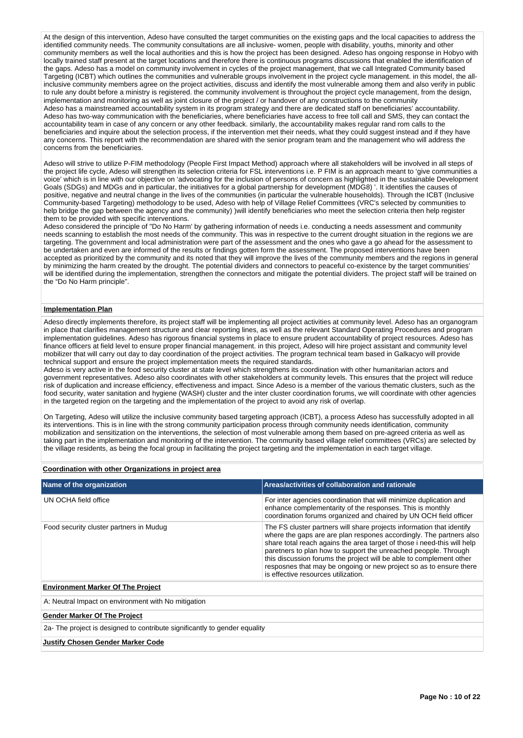At the design of this intervention, Adeso have consulted the target communities on the existing gaps and the local capacities to address the identified community needs. The community consultations are all inclusive- women, people with disability, youths, minority and other community members as well the local authorities and this is how the project has been designed. Adeso has ongoing response in Hobyo with locally trained staff present at the target locations and therefore there is continuous programs discussions that enabled the identification of the gaps. Adeso has a model on community involvement in cycles of the project management, that we call Integrated Community based Targeting (ICBT) which outlines the communities and vulnerable groups involvement in the project cycle management. in this model, the allinclusive community members agree on the project activities, discuss and identify the most vulnerable among them and also verify in public to rule any doubt before a ministry is registered. the community involvement is throughout the project cycle management, from the design, implementation and monitoring as well as joint closure of the project / or handover of any constructions to the community Adeso has a mainstreamed accountability system in its program strategy and there are dedicated staff on beneficiaries' accountability. Adeso has two-way communication with the beneficiaries, where beneficiaries have access to free toll call and SMS, they can contact the accountability team in case of any concern or any other feedback. similarly, the accountability makes regular rand rom calls to the beneficiaries and inquire about the selection process, if the intervention met their needs, what they could suggest instead and if they have any concerns. This report with the recommendation are shared with the senior program team and the management who will address the concerns from the beneficiaries.

Adeso will strive to utilize P-FIM methodology (People First Impact Method) approach where all stakeholders will be involved in all steps of the project life cycle, Adeso will strengthen its selection criteria for FSL interventions i.e. P FIM is an approach meant to 'give communities a voice' which is in line with our objective on 'advocating for the inclusion of persons of concern as highlighted in the sustainable Development Goals (SDGs) and MDGs and in particular, the initiatives for a global partnership for development (MDG8) '. It identifies the causes of positive, negative and neutral change in the lives of the communities (in particular the vulnerable households). Through the ICBT (Inclusive Community-based Targeting) methodology to be used, Adeso with help of Village Relief Committees (VRC's selected by communities to help bridge the gap between the agency and the community) )will identify beneficiaries who meet the selection criteria then help register them to be provided with specific interventions.

Adeso considered the principle of "Do No Harm' by gathering information of needs i.e. conducting a needs assessment and community needs scanning to establish the most needs of the community. This was in respective to the current drought situation in the regions we are targeting. The government and local administration were part of the assessment and the ones who gave a go ahead for the assessment to be undertaken and even are informed of the results or findings gotten form the assessment. The proposed interventions have been accepted as prioritized by the community and its noted that they will improve the lives of the community members and the regions in general by minimizing the harm created by the drought. The potential dividers and connectors to peaceful co-existence by the target communities' will be identified during the implementation, strengthen the connectors and mitigate the potential dividers. The project staff will be trained on the "Do No Harm principle".

#### **Implementation Plan**

Adeso directly implements therefore, its project staff will be implementing all project activities at community level. Adeso has an organogram in place that clarifies management structure and clear reporting lines, as well as the relevant Standard Operating Procedures and program implementation guidelines. Adeso has rigorous financial systems in place to ensure prudent accountability of project resources. Adeso has finance officers at field level to ensure proper financial management. in this project, Adeso will hire project assistant and community level mobilizer that will carry out day to day coordination of the project activities. The program technical team based in Galkacyo will provide technical support and ensure the project implementation meets the required standards.

Adeso is very active in the food security cluster at state level which strengthens its coordination with other humanitarian actors and government representatives. Adeso also coordinates with other stakeholders at community levels. This ensures that the project will reduce risk of duplication and increase efficiency, effectiveness and impact. Since Adeso is a member of the various thematic clusters, such as the food security, water sanitation and hygiene (WASH) cluster and the inter cluster coordination forums, we will coordinate with other agencies in the targeted region on the targeting and the implementation of the project to avoid any risk of overlap.

On Targeting, Adeso will utilize the inclusive community based targeting approach (ICBT), a process Adeso has successfully adopted in all its interventions. This is in line with the strong community participation process through community needs identification, community mobilization and sensitization on the interventions, the selection of most vulnerable among them based on pre-agreed criteria as well as taking part in the implementation and monitoring of the intervention. The community based village relief committees (VRCs) are selected by the village residents, as being the focal group in facilitating the project targeting and the implementation in each target village.

### **Coordination with other Organizations in project area**

| Name of the organization                            | Areas/activities of collaboration and rationale                                                                                                                                                                                                                                                                                                                                                                                                                                |  |  |  |  |  |
|-----------------------------------------------------|--------------------------------------------------------------------------------------------------------------------------------------------------------------------------------------------------------------------------------------------------------------------------------------------------------------------------------------------------------------------------------------------------------------------------------------------------------------------------------|--|--|--|--|--|
|                                                     |                                                                                                                                                                                                                                                                                                                                                                                                                                                                                |  |  |  |  |  |
| UN OCHA field office                                | For inter agencies coordination that will minimize duplication and<br>enhance complementarity of the responses. This is monthly<br>coordination forums organized and chaired by UN OCH field officer                                                                                                                                                                                                                                                                           |  |  |  |  |  |
| Food security cluster partners in Mudug             | The FS cluster partners will share projects information that identify<br>where the gaps are are plan respones accordingly. The partners also<br>share total reach agains the area target of those i need-this will help<br>paretners to plan how to support the unreached peopple. Through<br>this discussion forums the project will be able to complement other<br>resposnes that may be ongoing or new project so as to ensure there<br>is effective resources utilization. |  |  |  |  |  |
| <b>Environment Marker Of The Project</b>            |                                                                                                                                                                                                                                                                                                                                                                                                                                                                                |  |  |  |  |  |
| A: Neutral Impact on environment with No mitigation |                                                                                                                                                                                                                                                                                                                                                                                                                                                                                |  |  |  |  |  |
| <b>Gender Marker Of The Project</b>                 |                                                                                                                                                                                                                                                                                                                                                                                                                                                                                |  |  |  |  |  |

2a- The project is designed to contribute significantly to gender equality

#### **Justify Chosen Gender Marker Code**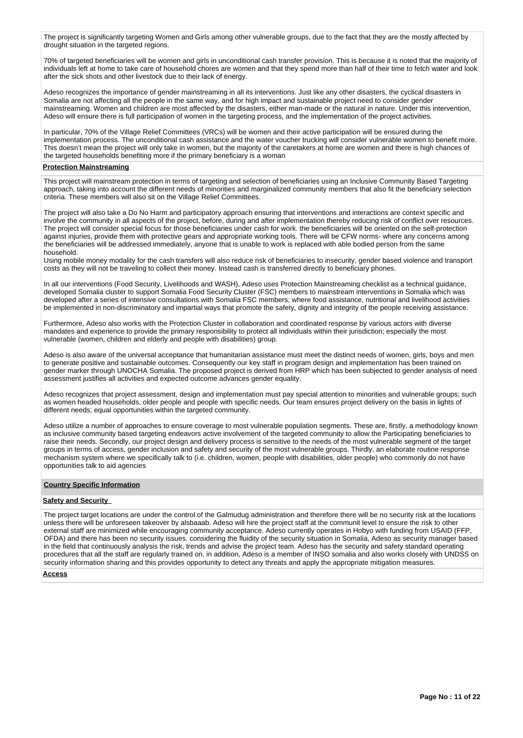The project is significantly targeting Women and Girls among other vulnerable groups, due to the fact that they are the mostly affected by drought situation in the targeted regions.

70% of targeted beneficiaries will be women and girls in unconditional cash transfer provision. This is because it is noted that the majority of individuals left at home to take care of household chores are women and that they spend more than half of their time to fetch water and look after the sick shots and other livestock due to their lack of energy.

Adeso recognizes the importance of gender mainstreaming in all its interventions. Just like any other disasters, the cyclical disasters in Somalia are not affecting all the people in the same way, and for high impact and sustainable project need to consider gender mainstreaming. Women and children are most affected by the disasters, either man-made or the natural in nature. Under this intervention, Adeso will ensure there is full participation of women in the targeting process, and the implementation of the project activities.

In particular, 70% of the Village Relief Committees (VRCs) will be women and their active participation will be ensured during the implementation process. The unconditional cash assistance and the water voucher trucking will consider vulnerable women to benefit more. This doesn't mean the project will only take in women, but the majority of the caretakers at home are women and there is high chances of the targeted households benefiting more if the primary beneficiary is a woman

#### **Protection Mainstreaming**

This project will mainstream protection in terms of targeting and selection of beneficiaries using an Inclusive Community Based Targeting approach, taking into account the different needs of minorities and marginalized community members that also fit the beneficiary selection criteria. These members will also sit on the Village Relief Committees.

The project will also take a Do No Harm and participatory approach ensuring that interventions and interactions are context specific and involve the community in all aspects of the project, before, during and after implementation thereby reducing risk of conflict over resources. The project will consider special focus for those beneficiaries under cash for work. the beneficiaries will be oriented on the self-protection against injuries, provide them with protective gears and appropriate working tools. There will be CFW norms- where any concerns among the beneficiaries will be addressed immediately, anyone that is unable to work is replaced with able bodied person from the same household.

Using mobile money modality for the cash transfers will also reduce risk of beneficiaries to insecurity, gender based violence and transport costs as they will not be traveling to collect their money. Instead cash is transferred directly to beneficiary phones.

In all our interventions (Food Security, Livelihoods and WASH), Adeso uses Protection Mainstreaming checklist as a technical guidance, developed Somalia cluster to support Somalia Food Security Cluster (FSC) members to mainstream interventions in Somalia which was developed after a series of intensive consultations with Somalia FSC members; where food assistance, nutritional and livelihood activities be implemented in non-discriminatory and impartial ways that promote the safety, dignity and integrity of the people receiving assistance.

Furthermore, Adeso also works with the Protection Cluster in collaboration and coordinated response by various actors with diverse mandates and experience to provide the primary responsibility to protect all individuals within their jurisdiction; especially the most vulnerable (women, children and elderly and people with disabilities) group.

Adeso is also aware of the universal acceptance that humanitarian assistance must meet the distinct needs of women, girls, boys and men to generate positive and sustainable outcomes. Consequently our key staff in program design and implementation has been trained on gender marker through UNOCHA Somalia. The proposed project is derived from HRP which has been subjected to gender analysis of need assessment justifies all activities and expected outcome advances gender equality.

Adeso recognizes that project assessment, design and implementation must pay special attention to minorities and vulnerable groups; such as women headed households, older people and people with specific needs. Our team ensures project delivery on the basis in lights of different needs; equal opportunities within the targeted community.

Adeso utilize a number of approaches to ensure coverage to most vulnerable population segments. These are, firstly, a methodology known as inclusive community based targeting endeavors active involvement of the targeted community to allow the Participating beneficiaries to raise their needs. Secondly, our project design and delivery process is sensitive to the needs of the most vulnerable segment of the target groups in terms of access, gender inclusion and safety and security of the most vulnerable groups. Thirdly, an elaborate routine response mechanism system where we specifically talk to (i.e. children, women, people with disabilities, older people) who commonly do not have opportunities talk to aid agencies

## **Country Specific Information**

## **Safety and Security**

The project target locations are under the control of the Galmudug administration and therefore there will be no security risk at the locations unless there will be unforeseen takeover by alsbaaab. Adeso will hire the project staff at the communit level to ensure the risk to other external staff are minimized while encouraging community acceptance. Adeso currently operates in Hobyo with funding from USAID (FFP, OFDA) and there has been no security issues. considering the fluidity of the security situation in Somalia, Adeso as security manager based in the field that continuously analysis the risk, trends and advise the project team. Adeso has the security and safety standard operating procedures that all the staff are regularly trained on. in addition, Adeso is a member of INSO somalia and also works closely with UNDSS on security information sharing and this provides opportunity to detect any threats and apply the appropriate mitigation measures.

#### **Access**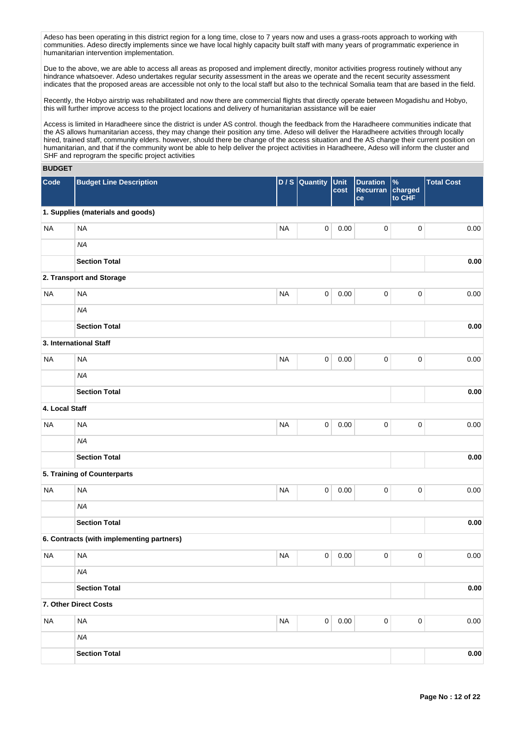Adeso has been operating in this district region for a long time, close to 7 years now and uses a grass-roots approach to working with communities. Adeso directly implements since we have local highly capacity built staff with many years of programmatic experience in humanitarian intervention implementation.

Due to the above, we are able to access all areas as proposed and implement directly, monitor activities progress routinely without any hindrance whatsoever. Adeso undertakes regular security assessment in the areas we operate and the recent security assessment indicates that the proposed areas are accessible not only to the local staff but also to the technical Somalia team that are based in the field.

Recently, the Hobyo airstrip was rehabilitated and now there are commercial flights that directly operate between Mogadishu and Hobyo, this will further improve access to the project locations and delivery of humanitarian assistance will be eaier

Access is limited in Haradheere since the district is under AS control. though the feedback from the Haradheere communities indicate that the AS allows humanitarian access, they may change their position any time. Adeso will deliver the Haradheere actvities through locally hired, trained staff, community elders. however, should there be change of the access situation and the AS change their current position on humanitarian, and that if the community wont be able to help deliver the project activities in Haradheere, Adeso will inform the cluster and SHF and reprogram the specific project activities

# **BUDGET**

| Code           | <b>Budget Line Description</b>            | D/S       | Quantity            | Unit<br>cost | <b>Duration</b><br>Recurran<br>ce | $\%$<br>charged<br>to CHF | <b>Total Cost</b> |
|----------------|-------------------------------------------|-----------|---------------------|--------------|-----------------------------------|---------------------------|-------------------|
|                | 1. Supplies (materials and goods)         |           |                     |              |                                   |                           |                   |
| <b>NA</b>      | <b>NA</b>                                 | <b>NA</b> | $\mathbf 0$         | 0.00         | 0                                 | $\pmb{0}$                 | 0.00              |
|                | <b>NA</b>                                 |           |                     |              |                                   |                           |                   |
|                | <b>Section Total</b>                      |           |                     |              |                                   |                           | 0.00              |
|                | 2. Transport and Storage                  |           |                     |              |                                   |                           |                   |
| <b>NA</b>      | <b>NA</b>                                 | <b>NA</b> | $\mathsf{O}\xspace$ | 0.00         | $\pmb{0}$                         | $\pmb{0}$                 | 0.00              |
|                | <b>NA</b>                                 |           |                     |              |                                   |                           |                   |
|                | <b>Section Total</b>                      |           |                     |              |                                   |                           | 0.00              |
|                | 3. International Staff                    |           |                     |              |                                   |                           |                   |
| <b>NA</b>      | <b>NA</b>                                 | <b>NA</b> | $\mathsf{O}\xspace$ | 0.00         | $\mathsf 0$                       | $\mathbf 0$               | 0.00              |
|                | <b>NA</b>                                 |           |                     |              |                                   |                           |                   |
|                | <b>Section Total</b>                      |           |                     |              |                                   |                           | 0.00              |
| 4. Local Staff |                                           |           |                     |              |                                   |                           |                   |
| <b>NA</b>      | <b>NA</b>                                 | <b>NA</b> | $\pmb{0}$           | 0.00         | 0                                 | $\pmb{0}$                 | 0.00              |
|                | <b>NA</b>                                 |           |                     |              |                                   |                           |                   |
|                | <b>Section Total</b>                      |           |                     |              |                                   |                           | 0.00              |
|                | 5. Training of Counterparts               |           |                     |              |                                   |                           |                   |
| <b>NA</b>      | <b>NA</b>                                 | <b>NA</b> | $\pmb{0}$           | 0.00         | $\pmb{0}$                         | $\pmb{0}$                 | 0.00              |
|                | <b>NA</b>                                 |           |                     |              |                                   |                           |                   |
|                | <b>Section Total</b>                      |           |                     |              |                                   |                           | 0.00              |
|                | 6. Contracts (with implementing partners) |           |                     |              |                                   |                           |                   |
| <b>NA</b>      | <b>NA</b>                                 | <b>NA</b> | 0                   | 0.00         | 0                                 | $\pmb{0}$                 | 0.00              |
|                | <b>NA</b>                                 |           |                     |              |                                   |                           |                   |
|                | <b>Section Total</b>                      |           |                     |              |                                   |                           | 0.00              |
|                | 7. Other Direct Costs                     |           |                     |              |                                   |                           |                   |
| NA             | <b>NA</b>                                 | <b>NA</b> | $\mathsf{O}\xspace$ | 0.00         | $\pmb{0}$                         | 0                         | 0.00              |
|                | <b>NA</b>                                 |           |                     |              |                                   |                           |                   |
|                | <b>Section Total</b>                      |           |                     |              |                                   |                           | 0.00              |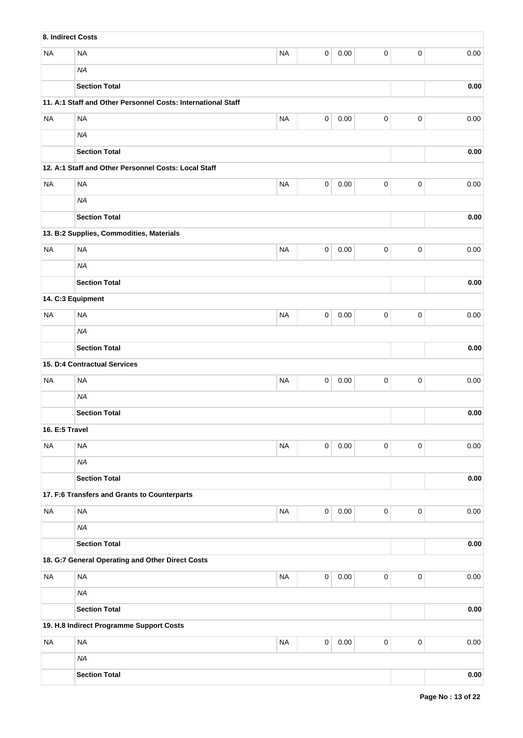| 8. Indirect Costs |                                                              |           |                |          |             |             |            |  |  |  |
|-------------------|--------------------------------------------------------------|-----------|----------------|----------|-------------|-------------|------------|--|--|--|
| <b>NA</b>         | <b>NA</b>                                                    | <b>NA</b> | $\mathsf 0$    | 0.00     | 0           | 0           | 0.00       |  |  |  |
|                   | <b>NA</b>                                                    |           |                |          |             |             |            |  |  |  |
|                   | <b>Section Total</b>                                         |           |                |          |             |             | 0.00       |  |  |  |
|                   | 11. A:1 Staff and Other Personnel Costs: International Staff |           |                |          |             |             |            |  |  |  |
| <b>NA</b>         | <b>NA</b>                                                    | <b>NA</b> | $\mathsf 0$    | 0.00     | 0           | 0           | 0.00       |  |  |  |
|                   | <b>NA</b>                                                    |           |                |          |             |             |            |  |  |  |
|                   | <b>Section Total</b>                                         |           |                |          |             |             |            |  |  |  |
|                   | 12. A:1 Staff and Other Personnel Costs: Local Staff         |           |                |          |             |             |            |  |  |  |
| <b>NA</b>         | <b>NA</b>                                                    | <b>NA</b> | $\mathsf 0$    | 0.00     | 0           | 0           | 0.00       |  |  |  |
|                   | <b>NA</b>                                                    |           |                |          |             |             |            |  |  |  |
|                   | <b>Section Total</b>                                         |           |                |          |             |             | 0.00       |  |  |  |
|                   | 13. B:2 Supplies, Commodities, Materials                     |           |                |          |             |             |            |  |  |  |
| <b>NA</b>         | <b>NA</b>                                                    | <b>NA</b> | 0              | 0.00     | 0           | 0           | 0.00       |  |  |  |
|                   | <b>NA</b>                                                    |           |                |          |             |             |            |  |  |  |
|                   | <b>Section Total</b>                                         |           |                |          |             |             | 0.00       |  |  |  |
| 14. C:3 Equipment |                                                              |           |                |          |             |             |            |  |  |  |
| <b>NA</b>         | <b>NA</b>                                                    | <b>NA</b> | 0              | 0.00     | 0           | 0           | 0.00       |  |  |  |
|                   | <b>NA</b>                                                    |           |                |          |             |             |            |  |  |  |
|                   | <b>Section Total</b>                                         |           |                |          |             |             |            |  |  |  |
|                   | 15. D:4 Contractual Services                                 |           |                |          |             |             |            |  |  |  |
| <b>NA</b>         | <b>NA</b>                                                    | <b>NA</b> | 0              | 0.00     | 0           | 0           | 0.00       |  |  |  |
|                   | <b>NA</b>                                                    |           |                |          |             |             |            |  |  |  |
|                   | <b>Section Total</b>                                         |           |                |          |             |             | 0.00       |  |  |  |
| 16. E:5 Travel    |                                                              |           |                |          |             |             |            |  |  |  |
| <b>NA</b>         | <b>NA</b>                                                    | <b>NA</b> | $\mathbf 0$    | $0.00\,$ | 0           | 0           | 0.00       |  |  |  |
|                   | <b>NA</b>                                                    |           |                |          |             |             |            |  |  |  |
|                   | <b>Section Total</b>                                         |           |                |          |             |             | 0.00       |  |  |  |
|                   | 17. F:6 Transfers and Grants to Counterparts                 |           |                |          |             |             |            |  |  |  |
| <b>NA</b>         | <b>NA</b>                                                    | <b>NA</b> | $\overline{0}$ | 0.00     | 0           | 0           | 0.00       |  |  |  |
|                   | <b>NA</b>                                                    |           |                |          |             |             |            |  |  |  |
|                   | <b>Section Total</b>                                         |           |                |          |             |             | 0.00       |  |  |  |
|                   | 18. G:7 General Operating and Other Direct Costs             |           |                |          |             |             |            |  |  |  |
| <b>NA</b>         | <b>NA</b>                                                    | <b>NA</b> | $\mathbf 0$    | 0.00     | $\mathbf 0$ | $\mathbf 0$ | 0.00       |  |  |  |
|                   | <b>NA</b>                                                    |           |                |          |             |             |            |  |  |  |
|                   | <b>Section Total</b>                                         |           |                |          |             |             | 0.00       |  |  |  |
|                   | 19. H.8 Indirect Programme Support Costs                     |           |                |          |             |             |            |  |  |  |
| <b>NA</b>         | <b>NA</b>                                                    | <b>NA</b> | $\pmb{0}$      | $0.00\,$ | $\pmb{0}$   | $\mathsf 0$ | 0.00       |  |  |  |
|                   | <b>NA</b>                                                    |           |                |          |             |             |            |  |  |  |
|                   | <b>Section Total</b>                                         |           |                |          |             |             | $\bf 0.00$ |  |  |  |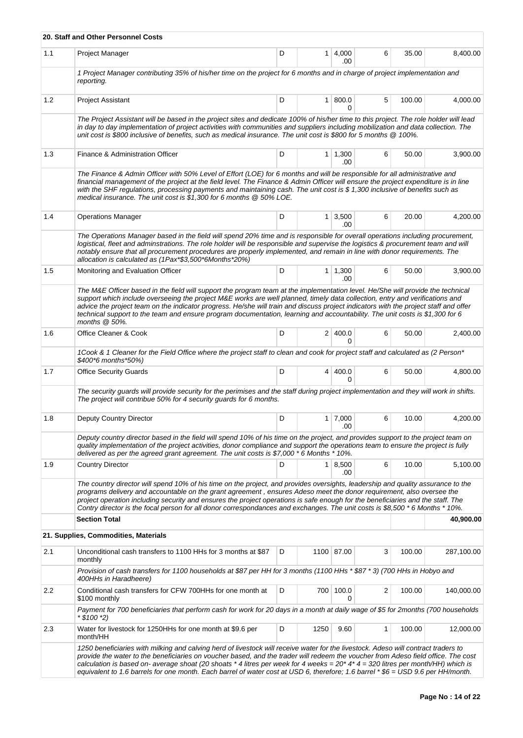|     | 20. Staff and Other Personnel Costs                                                                                                                                                                                                                                                                                                                                                                                                                                                                                                                        |   |      |                       |   |        |            |
|-----|------------------------------------------------------------------------------------------------------------------------------------------------------------------------------------------------------------------------------------------------------------------------------------------------------------------------------------------------------------------------------------------------------------------------------------------------------------------------------------------------------------------------------------------------------------|---|------|-----------------------|---|--------|------------|
| 1.1 | Project Manager                                                                                                                                                                                                                                                                                                                                                                                                                                                                                                                                            | D |      | $1 \mid 4,000$<br>.00 | 6 | 35.00  | 8,400.00   |
|     | 1 Project Manager contributing 35% of his/her time on the project for 6 months and in charge of project implementation and<br>reporting.                                                                                                                                                                                                                                                                                                                                                                                                                   |   |      |                       |   |        |            |
| 1.2 | <b>Project Assistant</b>                                                                                                                                                                                                                                                                                                                                                                                                                                                                                                                                   | D |      | 1 800.0<br>0          | 5 | 100.00 | 4,000.00   |
|     | The Project Assistant will be based in the project sites and dedicate 100% of his/her time to this project. The role holder will lead<br>in day to day implementation of project activities with communities and suppliers including mobilization and data collection. The<br>unit cost is \$800 inclusive of benefits, such as medical insurance. The unit cost is \$800 for 5 months @ 100%.                                                                                                                                                             |   |      |                       |   |        |            |
| 1.3 | Finance & Administration Officer                                                                                                                                                                                                                                                                                                                                                                                                                                                                                                                           | D |      | $1 \mid 1,300$<br>.00 | 6 | 50.00  | 3,900.00   |
|     | The Finance & Admin Officer with 50% Level of Effort (LOE) for 6 months and will be responsible for all administrative and<br>financial management of the project at the field level. The Finance & Admin Officer will ensure the project expenditure is in line<br>with the SHF regulations, processing payments and maintaining cash. The unit cost is \$ 1,300 inclusive of benefits such as<br>medical insurance. The unit cost is \$1,300 for 6 months @ 50% LOE.                                                                                     |   |      |                       |   |        |            |
| 1.4 | <b>Operations Manager</b>                                                                                                                                                                                                                                                                                                                                                                                                                                                                                                                                  | D |      | $1 \, 3,500$<br>.00   | 6 | 20.00  | 4,200.00   |
|     | The Operations Manager based in the field will spend 20% time and is responsible for overall operations including procurement,<br>logistical, fleet and adminstrations. The role holder will be responsible and supervise the logistics & procurement team and will<br>notably ensure that all procurement procedures are properly implemented, and remain in line with donor requirements. The<br>allocation is calculated as (1Pax*\$3,500*6Months*20%)                                                                                                  |   |      |                       |   |        |            |
| 1.5 | Monitoring and Evaluation Officer                                                                                                                                                                                                                                                                                                                                                                                                                                                                                                                          | D |      | $1 \mid 1,300$<br>.00 | 6 | 50.00  | 3,900.00   |
|     | The M&E Officer based in the field will support the program team at the implementation level. He/She will provide the technical<br>support which include overseeing the project M&E works are well planned, timely data collection, entry and verifications and<br>advice the project team on the indicator progress. He/she will train and discuss project indicators with the project staff and offer<br>technical support to the team and ensure program documentation, learning and accountability. The unit costs is \$1,300 for 6<br>months $@$ 50%. |   |      |                       |   |        |            |
| 1.6 | Office Cleaner & Cook                                                                                                                                                                                                                                                                                                                                                                                                                                                                                                                                      | D |      | 2 400.0<br>0          | 6 | 50.00  | 2,400.00   |
|     | 1Cook & 1 Cleaner for the Field Office where the project staff to clean and cook for project staff and calculated as (2 Person*<br>\$400*6 months*50%)                                                                                                                                                                                                                                                                                                                                                                                                     |   |      |                       |   |        |            |
| 1.7 | <b>Office Security Guards</b>                                                                                                                                                                                                                                                                                                                                                                                                                                                                                                                              | D | 4    | 400.0<br>$\Omega$     | 6 | 50.00  | 4,800.00   |
|     | The security guards will provide security for the perimises and the staff during project implementation and they will work in shifts.<br>The project will contribue 50% for 4 security guards for 6 months.                                                                                                                                                                                                                                                                                                                                                |   |      |                       |   |        |            |
| 1.8 | Deputy Country Director                                                                                                                                                                                                                                                                                                                                                                                                                                                                                                                                    | D |      | $1 \mid 7,000$<br>.00 | 6 | 10.00  | 4,200.00   |
|     | Deputy country director based in the field will spend 10% of his time on the project, and provides support to the project team on<br>quality implementation of the project activities, donor compliance and support the operations team to ensure the project is fully<br>delivered as per the agreed grant agreement. The unit costs is \$7,000 $*$ 6 Months $*$ 10%.                                                                                                                                                                                     |   |      |                       |   |        |            |
| 1.9 | <b>Country Director</b>                                                                                                                                                                                                                                                                                                                                                                                                                                                                                                                                    | D |      | 1 8,500<br>.00        | 6 | 10.00  | 5,100.00   |
|     | The country director will spend 10% of his time on the project, and provides oversights, leadership and quality assurance to the<br>programs delivery and accountable on the grant agreement, ensures Adeso meet the donor requirement, also oversee the<br>project operation including security and ensures the project operations is safe enough for the beneficiaries and the staff. The<br>Contry director is the focal person for all donor correspondances and exchanges. The unit costs is \$8,500 * 6 Months * 10%.                                |   |      |                       |   |        |            |
|     | <b>Section Total</b>                                                                                                                                                                                                                                                                                                                                                                                                                                                                                                                                       |   |      |                       |   |        | 40,900.00  |
|     | 21. Supplies, Commodities, Materials                                                                                                                                                                                                                                                                                                                                                                                                                                                                                                                       |   |      |                       |   |        |            |
| 2.1 | Unconditional cash transfers to 1100 HHs for 3 months at \$87<br>monthly                                                                                                                                                                                                                                                                                                                                                                                                                                                                                   | D |      | 1100 87.00            | 3 | 100.00 | 287,100.00 |
|     | Provision of cash transfers for 1100 households at \$87 per HH for 3 months (1100 HHs * \$87 * 3) (700 HHs in Hobyo and<br>400HHs in Haradheere)                                                                                                                                                                                                                                                                                                                                                                                                           |   |      |                       |   |        |            |
| 2.2 | Conditional cash transfers for CFW 700HHs for one month at<br>\$100 monthly                                                                                                                                                                                                                                                                                                                                                                                                                                                                                | D |      | 700 100.0<br>0        | 2 | 100.00 | 140,000.00 |
|     | Payment for 700 beneficiaries that perform cash for work for 20 days in a month at daily wage of \$5 for 2months (700 households<br>* \$100 *2)                                                                                                                                                                                                                                                                                                                                                                                                            |   |      |                       |   |        |            |
| 2.3 | Water for livestock for 1250HHs for one month at \$9.6 per<br>month/HH                                                                                                                                                                                                                                                                                                                                                                                                                                                                                     | D | 1250 | 9.60                  | 1 | 100.00 | 12,000.00  |
|     | 1250 beneficiaries with milking and calving herd of livestock will receive water for the livestock. Adeso will contract traders to<br>provide the water to the beneficiaries on voucher based, and the trader will redeem the voucher from Adeso field office. The cost<br>calculation is based on- average shoat (20 shoats * 4 litres per week for 4 weeks = $20^*$ 4* 4 = 320 litres per month/HH) which is<br>equivalent to 1.6 barrels for one month. Each barrel of water cost at USD 6, therefore; 1.6 barrel * \$6 = USD 9.6 per HH/month.         |   |      |                       |   |        |            |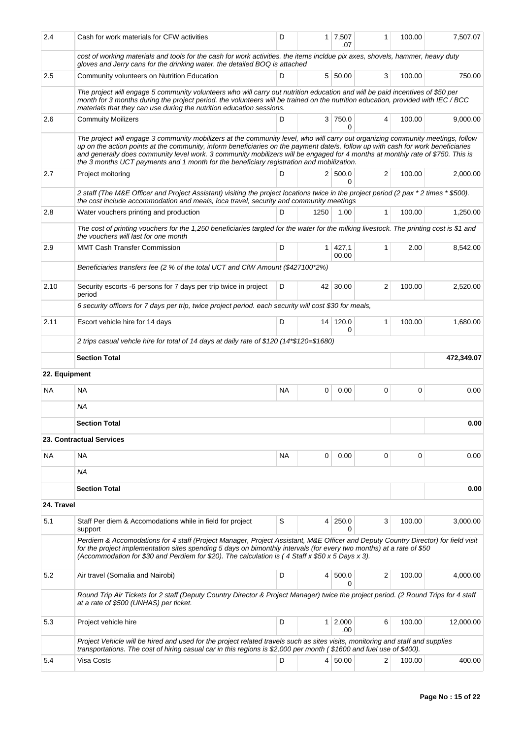| 2.4           | Cash for work materials for CFW activities                                                                                                                                                                                                                                                                                                                                                                                                                                                        | D         |                | $1 \mid 7,507$<br>.07 | 1 | 100.00 | 7,507.07   |
|---------------|---------------------------------------------------------------------------------------------------------------------------------------------------------------------------------------------------------------------------------------------------------------------------------------------------------------------------------------------------------------------------------------------------------------------------------------------------------------------------------------------------|-----------|----------------|-----------------------|---|--------|------------|
|               | cost of working materials and tools for the cash for work activities. the items incldue pix axes, shovels, hammer, heavy duty<br>gloves and Jerry cans for the drinking water. the detailed BOQ is attached                                                                                                                                                                                                                                                                                       |           |                |                       |   |        |            |
| 2.5           | Community volunteers on Nutrition Education                                                                                                                                                                                                                                                                                                                                                                                                                                                       | D         |                | 5 50.00               | 3 | 100.00 | 750.00     |
|               | The project will engage 5 community volunteers who will carry out nutrition education and will be paid incentives of \$50 per<br>month for 3 months during the project period. the volunteers will be trained on the nutrition education, provided with IEC/BCC<br>materials that they can use during the nutrition education sessions.                                                                                                                                                           |           |                |                       |   |        |            |
| 2.6           | <b>Commuity Moilizers</b>                                                                                                                                                                                                                                                                                                                                                                                                                                                                         | D         |                | 3 750.0<br>0          | 4 | 100.00 | 9,000.00   |
|               | The project will engage 3 community mobilizers at the community level, who will carry out organizing community meetings, follow<br>up on the action points at the community, inform beneficiaries on the payment date/s, follow up with cash for work beneficiaries<br>and generally does community level work. 3 community mobilizers will be engaged for 4 months at monthly rate of \$750. This is<br>the 3 months UCT payments and 1 month for the beneficiary registration and mobilization. |           |                |                       |   |        |            |
| 2.7           | Project moitoring                                                                                                                                                                                                                                                                                                                                                                                                                                                                                 | D         |                | 2   500.0<br>0        | 2 | 100.00 | 2,000.00   |
|               | 2 staff (The M&E Officer and Project Assistant) visiting the project locations twice in the project period (2 pax *2 times * \$500).<br>the cost include accommodation and meals, loca travel, security and community meetings                                                                                                                                                                                                                                                                    |           |                |                       |   |        |            |
| 2.8           | Water vouchers printing and production                                                                                                                                                                                                                                                                                                                                                                                                                                                            | D         | 1250           | 1.00                  | 1 | 100.00 | 1,250.00   |
|               | The cost of printing vouchers for the 1,250 beneficiaries targted for the water for the milking livestock. The printing cost is \$1 and<br>the vouchers will last for one month                                                                                                                                                                                                                                                                                                                   |           |                |                       |   |        |            |
| 2.9           | <b>MMT Cash Transfer Commission</b>                                                                                                                                                                                                                                                                                                                                                                                                                                                               | D         | 1 <sup>1</sup> | 427,1<br>00.00        | 1 | 2.00   | 8,542.00   |
|               | Beneficiaries transfers fee (2 % of the total UCT and CfW Amount (\$427100*2%)                                                                                                                                                                                                                                                                                                                                                                                                                    |           |                |                       |   |        |            |
| 2.10          | Security escorts -6 persons for 7 days per trip twice in project<br>period                                                                                                                                                                                                                                                                                                                                                                                                                        | D         |                | 42 30.00              | 2 | 100.00 | 2,520.00   |
|               | 6 security officers for 7 days per trip, twice project period. each security will cost \$30 for meals,                                                                                                                                                                                                                                                                                                                                                                                            |           |                |                       |   |        |            |
| 2.11          | Escort vehicle hire for 14 days                                                                                                                                                                                                                                                                                                                                                                                                                                                                   | D         |                | 14 120.0<br>0         | 1 | 100.00 | 1,680.00   |
|               | 2 trips casual vehcle hire for total of 14 days at daily rate of \$120 (14*\$120=\$1680)                                                                                                                                                                                                                                                                                                                                                                                                          |           |                |                       |   |        |            |
|               |                                                                                                                                                                                                                                                                                                                                                                                                                                                                                                   |           |                |                       |   |        |            |
|               | <b>Section Total</b>                                                                                                                                                                                                                                                                                                                                                                                                                                                                              |           |                |                       |   |        | 472,349.07 |
| 22. Equipment |                                                                                                                                                                                                                                                                                                                                                                                                                                                                                                   |           |                |                       |   |        |            |
| NA            | <b>NA</b>                                                                                                                                                                                                                                                                                                                                                                                                                                                                                         | <b>NA</b> | 0              | 0.00                  | 0 | 0      | 0.00       |
|               | ΝA                                                                                                                                                                                                                                                                                                                                                                                                                                                                                                |           |                |                       |   |        |            |
|               | <b>Section Total</b>                                                                                                                                                                                                                                                                                                                                                                                                                                                                              |           |                |                       |   |        | 0.00       |
|               | 23. Contractual Services                                                                                                                                                                                                                                                                                                                                                                                                                                                                          |           |                |                       |   |        |            |
| NA.           | <b>NA</b>                                                                                                                                                                                                                                                                                                                                                                                                                                                                                         | <b>NA</b> | 0              | 0.00                  | 0 | 0      | 0.00       |
|               | <b>NA</b>                                                                                                                                                                                                                                                                                                                                                                                                                                                                                         |           |                |                       |   |        |            |
|               | <b>Section Total</b>                                                                                                                                                                                                                                                                                                                                                                                                                                                                              |           |                |                       |   |        | 0.00       |
| 24. Travel    |                                                                                                                                                                                                                                                                                                                                                                                                                                                                                                   |           |                |                       |   |        |            |
| 5.1           | Staff Per diem & Accomodations while in field for project<br>support                                                                                                                                                                                                                                                                                                                                                                                                                              | S         | $\overline{4}$ | 250.0<br>$\Omega$     | 3 | 100.00 | 3,000.00   |
|               | Perdiem & Accomodations for 4 staff (Project Manager, Project Assistant, M&E Officer and Deputy Country Director) for field visit<br>for the project implementation sites spending 5 days on bimonthly intervals (for every two months) at a rate of \$50<br>(Accommodation for \$30 and Perdiem for \$20). The calculation is (4 Staff x \$50 x 5 Days x 3).                                                                                                                                     |           |                |                       |   |        |            |
| 5.2           | Air travel (Somalia and Nairobi)                                                                                                                                                                                                                                                                                                                                                                                                                                                                  | D         | 4              | 500.0<br>0            | 2 | 100.00 | 4,000.00   |
|               | Round Trip Air Tickets for 2 staff (Deputy Country Director & Project Manager) twice the project period. (2 Round Trips for 4 staff<br>at a rate of \$500 (UNHAS) per ticket.                                                                                                                                                                                                                                                                                                                     |           |                |                       |   |        |            |
| 5.3           | Project vehicle hire                                                                                                                                                                                                                                                                                                                                                                                                                                                                              | D         |                | $1 \mid 2,000$<br>.00 | 6 | 100.00 | 12,000.00  |
|               | Project Vehicle will be hired and used for the project related travels such as sites visits, monitoring and staff and supplies<br>transportations. The cost of hiring casual car in this regions is \$2,000 per month (\$1600 and fuel use of \$400).                                                                                                                                                                                                                                             |           |                |                       |   |        |            |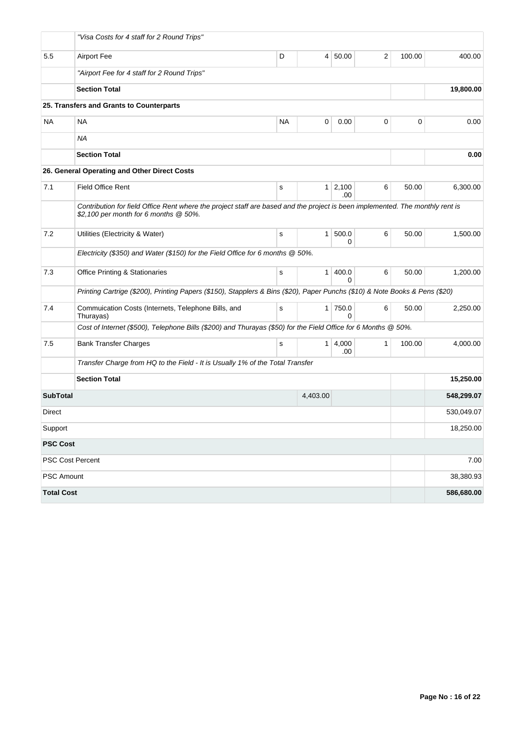|                   | "Visa Costs for 4 staff for 2 Round Trips"                                                                                                                             |             |                |                       |   |        |            |
|-------------------|------------------------------------------------------------------------------------------------------------------------------------------------------------------------|-------------|----------------|-----------------------|---|--------|------------|
| 5.5               | <b>Airport Fee</b>                                                                                                                                                     | D           | $\overline{4}$ | 50.00                 | 2 | 100.00 | 400.00     |
|                   | "Airport Fee for 4 staff for 2 Round Trips"                                                                                                                            |             |                |                       |   |        |            |
|                   | <b>Section Total</b>                                                                                                                                                   |             |                |                       |   |        | 19,800.00  |
|                   | 25. Transfers and Grants to Counterparts                                                                                                                               |             |                |                       |   |        |            |
| <b>NA</b>         | NA                                                                                                                                                                     | <b>NA</b>   | 0              | 0.00                  | 0 | 0      | 0.00       |
|                   | ΝA                                                                                                                                                                     |             |                |                       |   |        |            |
|                   | <b>Section Total</b>                                                                                                                                                   |             |                |                       |   |        | 0.00       |
|                   | 26. General Operating and Other Direct Costs                                                                                                                           |             |                |                       |   |        |            |
| 7.1               | <b>Field Office Rent</b>                                                                                                                                               | s           | $\mathbf{1}$   | 2,100<br>.00          | 6 | 50.00  | 6,300.00   |
|                   | Contribution for field Office Rent where the project staff are based and the project is been implemented. The monthly rent is<br>\$2,100 per month for 6 months @ 50%. |             |                |                       |   |        |            |
| 7.2               | Utilities (Electricity & Water)                                                                                                                                        | s           | $\mathbf{1}$   | 500.0<br>0            | 6 | 50.00  | 1,500.00   |
|                   | Electricity (\$350) and Water (\$150) for the Field Office for 6 months @ 50%.                                                                                         |             |                |                       |   |        |            |
| 7.3               | <b>Office Printing &amp; Stationaries</b>                                                                                                                              | $\mathbf s$ | $\mathbf{1}$   | 400.0<br><sup>0</sup> | 6 | 50.00  | 1,200.00   |
|                   | Printing Cartrige (\$200), Printing Papers (\$150), Stapplers & Bins (\$20), Paper Punchs (\$10) & Note Books & Pens (\$20)                                            |             |                |                       |   |        |            |
| 7.4               | Commuication Costs (Internets, Telephone Bills, and<br>Thurayas)                                                                                                       | s           | $\mathbf{1}$   | 750.0<br>0            | 6 | 50.00  | 2,250.00   |
|                   | Cost of Internet (\$500), Telephone Bills (\$200) and Thurayas (\$50) for the Field Office for 6 Months @ 50%.                                                         |             |                |                       |   |        |            |
| 7.5               | <b>Bank Transfer Charges</b>                                                                                                                                           | s           | 1 <sup>1</sup> | 4,000<br>.00          | 1 | 100.00 | 4,000.00   |
|                   | Transfer Charge from HQ to the Field - It is Usually 1% of the Total Transfer                                                                                          |             |                |                       |   |        |            |
|                   | <b>Section Total</b>                                                                                                                                                   |             |                |                       |   |        | 15,250.00  |
| <b>SubTotal</b>   |                                                                                                                                                                        |             | 4,403.00       |                       |   |        | 548,299.07 |
| Direct            |                                                                                                                                                                        |             |                |                       |   |        | 530,049.07 |
| Support           |                                                                                                                                                                        |             |                |                       |   |        | 18,250.00  |
| <b>PSC Cost</b>   |                                                                                                                                                                        |             |                |                       |   |        |            |
|                   | PSC Cost Percent                                                                                                                                                       |             |                |                       |   |        | 7.00       |
| PSC Amount        |                                                                                                                                                                        |             |                |                       |   |        | 38,380.93  |
| <b>Total Cost</b> |                                                                                                                                                                        |             |                |                       |   |        | 586,680.00 |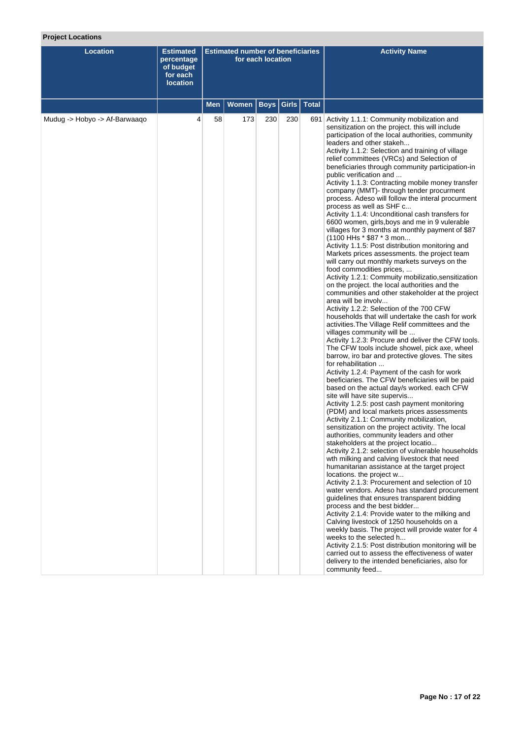# **Project Locations**

| <b>Location</b>               | <b>Estimated</b><br>percentage<br>of budget<br>for each<br><b>location</b> |     | <b>Estimated number of beneficiaries</b> | for each location |               | <b>Activity Name</b>                                                                                                                                                                                                                                                                                                                                                                                                                                                                                                                                                                                                                                                                                                                                                                                                                                                                                                                                                                                                                                                                                                                                                                                                                                                                                                                                                                                                                                                                                                                                                                                                                                                                                                                                                                                                                                                                                                                                                                                                                                                                                                                                                                                                                                                                                                                                                                                                                                                                                                                                                                                                                                                                        |
|-------------------------------|----------------------------------------------------------------------------|-----|------------------------------------------|-------------------|---------------|---------------------------------------------------------------------------------------------------------------------------------------------------------------------------------------------------------------------------------------------------------------------------------------------------------------------------------------------------------------------------------------------------------------------------------------------------------------------------------------------------------------------------------------------------------------------------------------------------------------------------------------------------------------------------------------------------------------------------------------------------------------------------------------------------------------------------------------------------------------------------------------------------------------------------------------------------------------------------------------------------------------------------------------------------------------------------------------------------------------------------------------------------------------------------------------------------------------------------------------------------------------------------------------------------------------------------------------------------------------------------------------------------------------------------------------------------------------------------------------------------------------------------------------------------------------------------------------------------------------------------------------------------------------------------------------------------------------------------------------------------------------------------------------------------------------------------------------------------------------------------------------------------------------------------------------------------------------------------------------------------------------------------------------------------------------------------------------------------------------------------------------------------------------------------------------------------------------------------------------------------------------------------------------------------------------------------------------------------------------------------------------------------------------------------------------------------------------------------------------------------------------------------------------------------------------------------------------------------------------------------------------------------------------------------------------------|
|                               |                                                                            | Men | <b>Women</b>                             | <b>Boys</b>       | Girls   Total |                                                                                                                                                                                                                                                                                                                                                                                                                                                                                                                                                                                                                                                                                                                                                                                                                                                                                                                                                                                                                                                                                                                                                                                                                                                                                                                                                                                                                                                                                                                                                                                                                                                                                                                                                                                                                                                                                                                                                                                                                                                                                                                                                                                                                                                                                                                                                                                                                                                                                                                                                                                                                                                                                             |
| Mudug -> Hobyo -> Af-Barwaaqo | 4                                                                          | 58  | 173                                      | 230               | 230           | 691 Activity 1.1.1: Community mobilization and<br>sensitization on the project. this will include<br>participation of the local authorities, community<br>leaders and other stakeh<br>Activity 1.1.2: Selection and training of village<br>relief committees (VRCs) and Selection of<br>beneficiaries through community participation-in<br>public verification and<br>Activity 1.1.3: Contracting mobile money transfer<br>company (MMT)- through tender procurment<br>process. Adeso will follow the interal procurment<br>process as well as SHF c<br>Activity 1.1.4: Unconditional cash transfers for<br>6600 women, girls, boys and me in 9 vulerable<br>villages for 3 months at monthly payment of \$87<br>(1100 HHs * \$87 * 3 mon<br>Activity 1.1.5: Post distribution monitoring and<br>Markets prices assessments. the project team<br>will carry out monthly markets surveys on the<br>food commodities prices,<br>Activity 1.2.1: Commuity mobilizatio, sensitization<br>on the project. the local authorities and the<br>communities and other stakeholder at the project<br>area will be involv<br>Activity 1.2.2: Selection of the 700 CFW<br>households that will undertake the cash for work<br>activities. The Village Relif committees and the<br>villages community will be<br>Activity 1.2.3: Procure and deliver the CFW tools.<br>The CFW tools include showel, pick axe, wheel<br>barrow, iro bar and protective gloves. The sites<br>for rehabilitation<br>Activity 1.2.4: Payment of the cash for work<br>beeficiaries. The CFW beneficiaries will be paid<br>based on the actual day/s worked. each CFW<br>site will have site supervis<br>Activity 1.2.5: post cash payment monitoring<br>(PDM) and local markets prices assessments<br>Activity 2.1.1: Community mobilization,<br>sensitization on the project activity. The local<br>autnorities, community leaders and other<br>stakeholders at the project locatio<br>Activity 2.1.2: selection of vulnerable households<br>wth milking and calving livestock that need<br>humanitarian assistance at the target project<br>locations. the project w<br>Activity 2.1.3: Procurement and selection of 10<br>water vendors. Adeso has standard procurement<br>quidelines that ensures transparent bidding<br>process and the best bidder<br>Activity 2.1.4: Provide water to the milking and<br>Calving livestock of 1250 households on a<br>weekly basis. The project will provide water for 4<br>weeks to the selected h<br>Activity 2.1.5: Post distribution monitoring will be<br>carried out to assess the effectiveness of water<br>delivery to the intended beneficiaries, also for<br>community feed |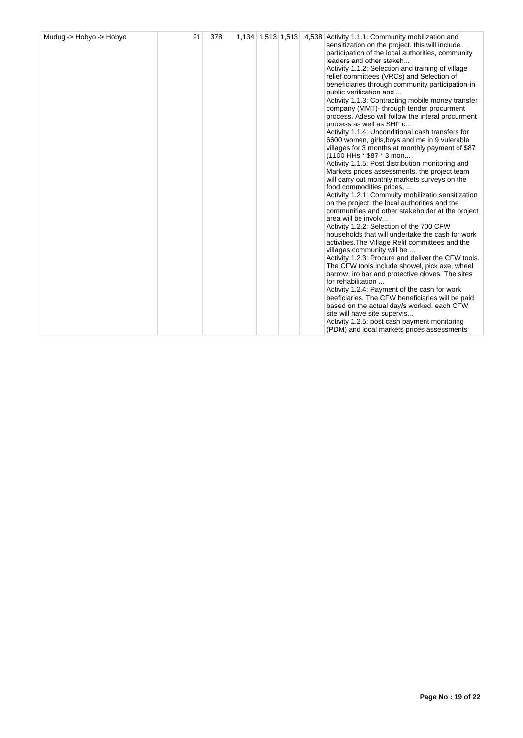| beneficiaries through community participation-in<br>Activity 1.1.3: Contracting mobile money transfer<br>company (MMT)- through tender procurment<br>process. Adeso will follow the interal procurment<br>process as well as SHF c<br>Activity 1.1.4: Unconditional cash transfers for<br>6600 women, girls, boys and me in 9 vulerable<br>villages for 3 months at monthly payment of \$87<br>(1100 HHs * \$87 * 3 mon<br>Activity 1.1.5: Post distribution monitoring and<br>Markets prices assessments, the project team<br>will carry out monthly markets surveys on the<br>food commodities prices,<br>Activity 1.2.1: Commuity mobilizatio, sensitization<br>on the project. the local authorities and the<br>communities and other stakeholder at the project<br>Activity 1.2.2: Selection of the 700 CFW<br>households that will undertake the cash for work<br>activities. The Village Relif committees and the<br>villages community will be<br>Activity 1.2.3: Procure and deliver the CFW tools.<br>The CFW tools include showel, pick axe, wheel<br>barrow, iro bar and protective gloves. The sites<br>Activity 1.2.4: Payment of the cash for work<br>beeficiaries. The CFW beneficiaries will be paid<br>based on the actual day/s worked. each CFW<br>site will have site supervis |
|-----------------------------------------------------------------------------------------------------------------------------------------------------------------------------------------------------------------------------------------------------------------------------------------------------------------------------------------------------------------------------------------------------------------------------------------------------------------------------------------------------------------------------------------------------------------------------------------------------------------------------------------------------------------------------------------------------------------------------------------------------------------------------------------------------------------------------------------------------------------------------------------------------------------------------------------------------------------------------------------------------------------------------------------------------------------------------------------------------------------------------------------------------------------------------------------------------------------------------------------------------------------------------------------------------|
|                                                                                                                                                                                                                                                                                                                                                                                                                                                                                                                                                                                                                                                                                                                                                                                                                                                                                                                                                                                                                                                                                                                                                                                                                                                                                                     |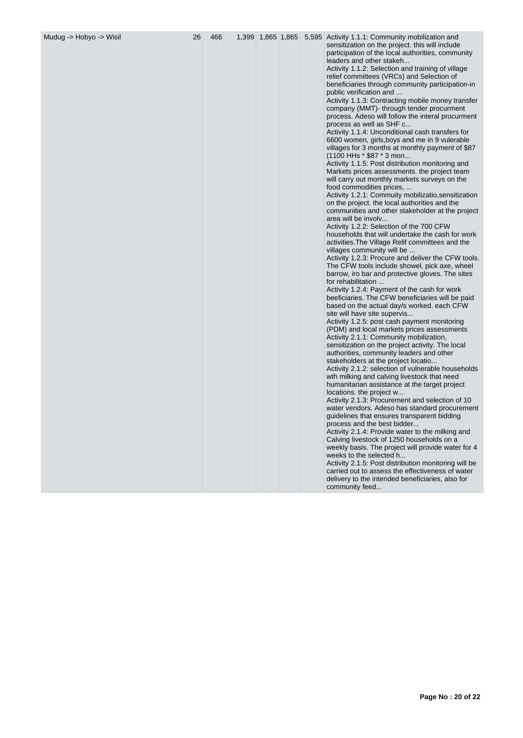| Mudug -> Hobyo -> Wisil | 26 | 466 | 1,399 1,865 1,865 |  | 5,595 Activity 1.1.1: Community mobilization and<br>sensitization on the project. this will include      |
|-------------------------|----|-----|-------------------|--|----------------------------------------------------------------------------------------------------------|
|                         |    |     |                   |  | participation of the local authorities, community<br>leaders and other stakeh                            |
|                         |    |     |                   |  | Activity 1.1.2: Selection and training of village<br>relief committees (VRCs) and Selection of           |
|                         |    |     |                   |  | beneficiaries through community participation-in<br>public verification and                              |
|                         |    |     |                   |  | Activity 1.1.3: Contracting mobile money transfer<br>company (MMT)- through tender procurment            |
|                         |    |     |                   |  | process. Adeso will follow the interal procurment                                                        |
|                         |    |     |                   |  | process as well as SHF c<br>Activity 1.1.4: Unconditional cash transfers for                             |
|                         |    |     |                   |  | 6600 women, girls, boys and me in 9 vulerable<br>villages for 3 months at monthly payment of \$87        |
|                         |    |     |                   |  | (1100 HHs * \$87 * 3 mon<br>Activity 1.1.5: Post distribution monitoring and                             |
|                         |    |     |                   |  | Markets prices assessments. the project team<br>will carry out monthly markets surveys on the            |
|                         |    |     |                   |  | food commodities prices,<br>Activity 1.2.1: Commuity mobilizatio, sensitization                          |
|                         |    |     |                   |  | on the project. the local authorities and the<br>communities and other stakeholder at the project        |
|                         |    |     |                   |  | area will be involv<br>Activity 1.2.2: Selection of the 700 CFW                                          |
|                         |    |     |                   |  | households that will undertake the cash for work<br>activities. The Village Relif committees and the     |
|                         |    |     |                   |  | villages community will be<br>Activity 1.2.3: Procure and deliver the CFW tools.                         |
|                         |    |     |                   |  | The CFW tools include showel, pick axe, wheel<br>barrow, iro bar and protective gloves. The sites        |
|                         |    |     |                   |  | for rehabilitation<br>Activity 1.2.4: Payment of the cash for work                                       |
|                         |    |     |                   |  | beeficiaries. The CFW beneficiaries will be paid<br>based on the actual day/s worked. each CFW           |
|                         |    |     |                   |  | site will have site supervis<br>Activity 1.2.5: post cash payment monitoring                             |
|                         |    |     |                   |  | (PDM) and local markets prices assessments<br>Activity 2.1.1: Community mobilization,                    |
|                         |    |     |                   |  | sensitization on the project activity. The local<br>authorities, community leaders and other             |
|                         |    |     |                   |  | stakeholders at the project locatio<br>Activity 2.1.2: selection of vulnerable households                |
|                         |    |     |                   |  | wth milking and calving livestock that need<br>humanitarian assistance at the target project             |
|                         |    |     |                   |  | locations. the project w<br>Activity 2.1.3: Procurement and selection of 10                              |
|                         |    |     |                   |  | water vendors. Adeso has standard procurement<br>guidelines that ensures transparent bidding             |
|                         |    |     |                   |  | process and the best bidder<br>Activity 2.1.4: Provide water to the milking and                          |
|                         |    |     |                   |  | Calving livestock of 1250 households on a<br>weekly basis. The project will provide water for 4          |
|                         |    |     |                   |  | weeks to the selected h                                                                                  |
|                         |    |     |                   |  | Activity 2.1.5: Post distribution monitoring will be<br>carried out to assess the effectiveness of water |
|                         |    |     |                   |  | delivery to the intended beneficiaries, also for<br>community feed                                       |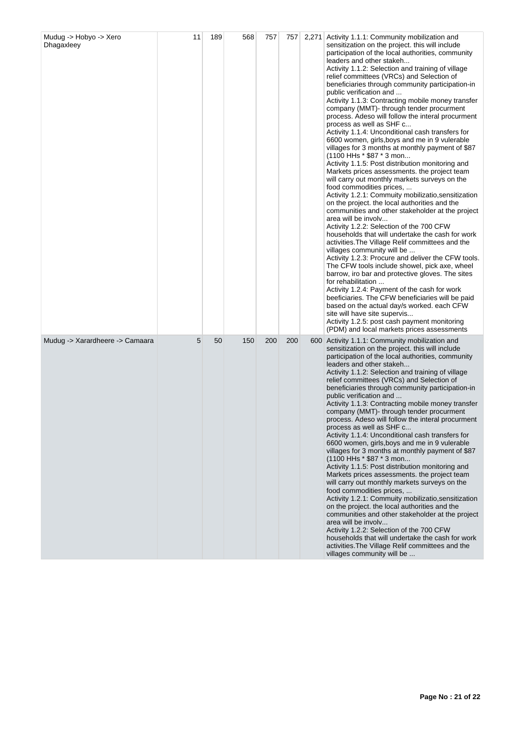| Mudug -> Hobyo -> Xero<br>Dhagaxleey | 11 | 189 | 568 | 757 | 757 | 2,271 Activity 1.1.1: Community mobilization and<br>sensitization on the project. this will include<br>participation of the local authorities, community<br>leaders and other stakeh<br>Activity 1.1.2: Selection and training of village<br>relief committees (VRCs) and Selection of<br>beneficiaries through community participation-in<br>public verification and<br>Activity 1.1.3: Contracting mobile money transfer<br>company (MMT)- through tender procurment<br>process. Adeso will follow the interal procurment<br>process as well as SHF c<br>Activity 1.1.4: Unconditional cash transfers for<br>6600 women, girls, boys and me in 9 vulerable<br>villages for 3 months at monthly payment of \$87<br>(1100 HHs * \$87 * 3 mon<br>Activity 1.1.5: Post distribution monitoring and<br>Markets prices assessments. the project team<br>will carry out monthly markets surveys on the<br>food commodities prices,<br>Activity 1.2.1: Commuity mobilizatio, sensitization<br>on the project. the local authorities and the<br>communities and other stakeholder at the project<br>area will be involv<br>Activity 1.2.2: Selection of the 700 CFW<br>households that will undertake the cash for work<br>activities. The Village Relif committees and the<br>villages community will be<br>Activity 1.2.3: Procure and deliver the CFW tools.<br>The CFW tools include showel, pick axe, wheel<br>barrow, iro bar and protective gloves. The sites<br>for rehabilitation<br>Activity 1.2.4: Payment of the cash for work<br>beeficiaries. The CFW beneficiaries will be paid<br>based on the actual day/s worked. each CFW<br>site will have site supervis<br>Activity 1.2.5: post cash payment monitoring<br>(PDM) and local markets prices assessments |
|--------------------------------------|----|-----|-----|-----|-----|---------------------------------------------------------------------------------------------------------------------------------------------------------------------------------------------------------------------------------------------------------------------------------------------------------------------------------------------------------------------------------------------------------------------------------------------------------------------------------------------------------------------------------------------------------------------------------------------------------------------------------------------------------------------------------------------------------------------------------------------------------------------------------------------------------------------------------------------------------------------------------------------------------------------------------------------------------------------------------------------------------------------------------------------------------------------------------------------------------------------------------------------------------------------------------------------------------------------------------------------------------------------------------------------------------------------------------------------------------------------------------------------------------------------------------------------------------------------------------------------------------------------------------------------------------------------------------------------------------------------------------------------------------------------------------------------------------------------------------------------------------------------|
| Mudug -> Xarardheere -> Camaara      | 5  | 50  | 150 | 200 | 200 | 600 Activity 1.1.1: Community mobilization and<br>sensitization on the project. this will include<br>participation of the local authorities, community<br>leaders and other stakeh<br>Activity 1.1.2: Selection and training of village<br>relief committees (VRCs) and Selection of<br>beneficiaries through community participation-in<br>public verification and<br>Activity 1.1.3: Contracting mobile money transfer<br>company (MMT)- through tender procurment<br>process. Adeso will follow the interal procurment<br>process as well as SHF c<br>Activity 1.1.4: Unconditional cash transfers for<br>6600 women, girls, boys and me in 9 vulerable<br>villages for 3 months at monthly payment of \$87<br>(1100 HHs * \$87 * 3 mon<br>Activity 1.1.5: Post distribution monitoring and<br>Markets prices assessments. the project team<br>will carry out monthly markets surveys on the<br>food commodities prices,<br>Activity 1.2.1: Commuity mobilizatio, sensitization<br>on the project. the local authorities and the<br>communities and other stakeholder at the project<br>area will be involy<br>Activity 1.2.2: Selection of the 700 CFW<br>households that will undertake the cash for work<br>activities. The Village Relif committees and the<br>villages community will be                                                                                                                                                                                                                                                                                                                                                                                                                                                                    |